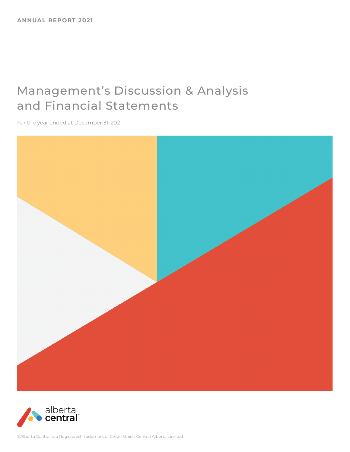**ANNUAL REPORT 2021**

# Management's Discussion & Analysis and Financial Statements

For the year ended at December 31, 2021





®Alberta Central is a Registered Trademark of Credit Union Central Alberta Limited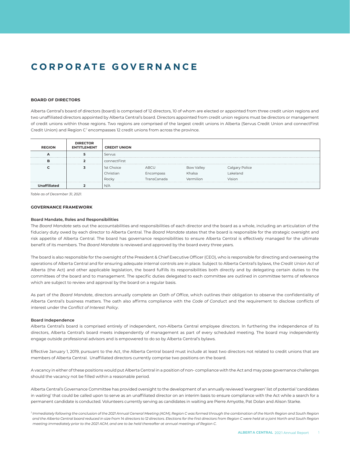# **BOARD OF DIRECTORS**

Alberta Central's board of directors (board) is comprised of 12 directors, 10 of whom are elected or appointed from three credit union regions and two unaffiliated directors appointed by Alberta Central's board. Directors appointed from credit union regions must be directors or management of credit unions within those regions. Two regions are comprised of the largest credit unions in Alberta (Servus Credit Union and connectFirst Credit Union) and Region C $^{\rm l}$  encompasses 12 credit unions from across the province.

| <b>REGION</b> | <b>DIRECTOR</b><br><b>ENTITLEMENT</b> | <b>CREDIT UNION</b> |             |                   |                            |  |
|---------------|---------------------------------------|---------------------|-------------|-------------------|----------------------------|--|
|               |                                       | Servus              |             |                   |                            |  |
| A             |                                       |                     |             |                   |                            |  |
| е             |                                       | connectFirst        |             |                   |                            |  |
|               |                                       | 1st Choice          | <b>ABCU</b> | <b>Bow Valley</b> | Calgary Police<br>Lakeland |  |
|               |                                       | Christian           | Encompass   | Khalsa            |                            |  |
|               |                                       | Rocky               |             | Vermilior         | Vision                     |  |
|               |                                       |                     |             |                   |                            |  |

*Table as of December 31, 2021.*

# **GOVERNANCE FRAMEWORK**

### **Board Mandate, Roles and Responsibilities**

The *Board Mandate* sets out the accountabilities and responsibilities of each director and the board as a whole, including an articulation of the fiduciary duty owed by each director to Alberta Central. The *Board Mandate* states that the board is responsible for the strategic oversight and risk appetite of Alberta Central. The board has governance responsibilities to ensure Alberta Central is effectively managed for the ultimate benefit of its members. The *Board Mandate* is reviewed and approved by the board every three years.

The board is also responsible for the oversight of the President & Chief Executive Officer (CEO), who is responsible for directing and overseeing the operations of Alberta Central and for ensuring adequate internal controls are in place. Subject to Alberta Central's bylaws, the *Credit Union Act* of Alberta (the Act) and other applicable legislation, the board fulfills its responsibilities both directly and by delegating certain duties to the committees of the board and to management. The specific duties delegated to each committee are outlined in committee terms of reference which are subject to review and approval by the board on a regular basis.

As part of the *Board Mandate*, directors annually complete an *Oath of Office*, which outlines their obligation to observe the confidentiality of Alberta Central's business matters. The oath also affirms compliance with the *Code of Conduc*t and the requirement to disclose conflicts of interest under the *Conflict of Interest Policy*.

### **Board Independence**

Alberta Central's board is comprised entirely of independent, non-Alberta Central employee directors. In furthering the independence of its directors, Alberta Central's board meets independently of management as part of every scheduled meeting. The board may independently engage outside professional advisors and is empowered to do so by Alberta Central's bylaws.

Effective January 1, 2019, pursuant to the Act, the Alberta Central board must include at least two directors not related to credit unions that are members of Alberta Central. Unaffiliated directors currently comprise two positions on the board.

A vacancy in either of these positions would put Alberta Central in a position of non- compliance with the Act and may pose governance challenges should the vacancy not be filled within a reasonable period.

Alberta Central's Governance Committee has provided oversight to the development of an annually reviewed 'evergreen' list of potential 'candidates in waiting' that could be called upon to serve as an unaffiliated director on an interim basis to ensure compliance with the Act while a search for a permanent candidate is conducted. Volunteers currently serving as candidates in waiting are Pierre Amyotte, Pat Dolan and Alison Starke.

<sup>1</sup> Immediately following the conclusion of the 2021 Annual General Meeting (AGM), Region C was formed through the combination of the North Region and South Region  *and the Alberta Central board reduced in size from 14 directors to 12 directors. Elections for the first directors from Region C were held at a joint North and South Region meeting immediately prior to the 2021 AGM, and are to be held thereafter at annual meetings of Region C.*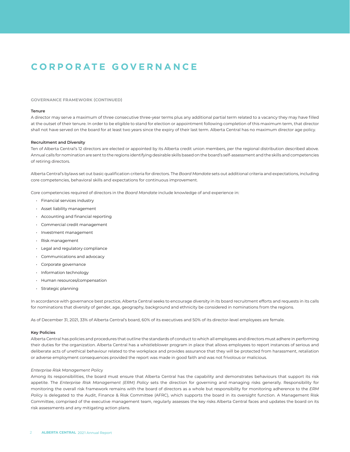## **GOVERNANCE FRAMEWORK (CONTINUED)**

### **Tenure**

A director may serve a maximum of three consecutive three-year terms plus any additional partial term related to a vacancy they may have filled at the outset of their tenure. In order to be eligible to stand for election or appointment following completion of this maximum term, that director shall not have served on the board for at least two years since the expiry of their last term. Alberta Central has no maximum director age policy.

#### **Recruitment and Diversity**

Ten of Alberta Central's 12 directors are elected or appointed by its Alberta credit union members, per the regional distribution described above. Annual calls for nomination are sent to the regions identifying desirable skills based on the board's self-assessment and the skills and competencies of retiring directors.

Alberta Central's bylaws set out basic qualification criteria for directors. The *Board Mandate* sets out additional criteria and expectations, including core competencies, behavioral skills and expectations for continuous improvement.

Core competencies required of directors in the *Board Mandate* include knowledge of and experience in:

- Financial services industry
- Asset liability management
- Accounting and financial reporting
- Commercial credit management
- Investment management
- Risk management
- Legal and regulatory compliance
- Communications and advocacy
- Corporate governance
- Information technology
- Human resources/compensation
- Strategic planning

In accordance with governance best practice, Alberta Central seeks to encourage diversity in its board recruitment efforts and requests in its calls for nominations that diversity of gender, age, geography, background and ethnicity be considered in nominations from the regions.

As of December 31, 2021, 33% of Alberta Central's board, 60% of its executives and 50% of its director-level employees are female.

#### **Key Policies**

Alberta Central has policies and procedures that outline the standards of conduct to which all employees and directors must adhere in performing their duties for the organization. Alberta Central has a whistleblower program in place that allows employees to report instances of serious and deliberate acts of unethical behaviour related to the workplace and provides assurance that they will be protected from harassment, retaliation or adverse employment consequences provided the report was made in good faith and was not frivolous or malicious.

#### *Enterprise Risk Management Polic*y

Among its responsibilities, the board must ensure that Alberta Central has the capability and demonstrates behaviours that support its risk appetite. The *Enterprise Risk Management (ERM) Policy* sets the direction for governing and managing risks generally. Responsibility for monitoring the overall risk framework remains with the board of directors as a whole but responsibility for monitoring adherence to the *ERM Policy* is delegated to the Audit, Finance & Risk Committee (AFRC), which supports the board in its oversight function. A Management Risk Committee, comprised of the executive management team, regularly assesses the key risks Alberta Central faces and updates the board on its risk assessments and any mitigating action plans.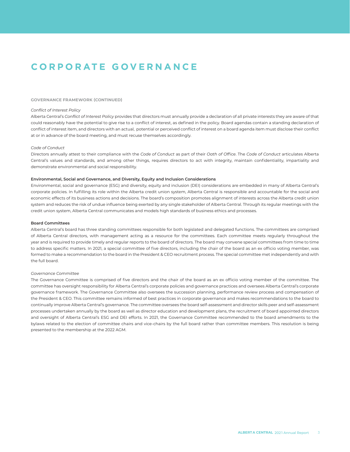# **GOVERNANCE FRAMEWORK (CONTINUED)**

### *Conflict of Interest Policy*

Alberta Central's *Conflict of Interest Policy* provides that directors must annually provide a declaration of all private interests they are aware of that could reasonably have the potential to give rise to a conflict of interest, as defined in the policy. Board agendas contain a standing declaration of conflict of interest item, and directors with an actual, potential or perceived conflict of interest on a board agenda item must disclose their conflict at or in advance of the board meeting, and must recuse themselves accordingly.

### *Code of Conduct*

Directors annually attest to their compliance with the *Code of Conduct* as part of their *Oath of Office*. The *Code of Conduct* articulates Alberta Central's values and standards, and among other things, requires directors to act with integrity, maintain confidentiality, impartiality and demonstrate environmental and social responsibility.

### **Environmental, Social and Governance, and Diversity, Equity and Inclusion Considerations**

Environmental, social and governance (ESG) and diversity, equity and inclusion (DEI) considerations are embedded in many of Alberta Central's corporate policies. In fulfilling its role within the Alberta credit union system, Alberta Central is responsible and accountable for the social and economic effects of its business actions and decisions. The board's composition promotes alignment of interests across the Alberta credit union system and reduces the risk of undue influence being exerted by any single stakeholder of Alberta Central. Through its regular meetings with the credit union system, Alberta Central communicates and models high standards of business ethics and processes.

### **Board Committees**

Alberta Central's board has three standing committees responsible for both legislated and delegated functions. The committees are comprised of Alberta Central directors, with management acting as a resource for the committees. Each committee meets regularly throughout the year and is required to provide timely and regular reports to the board of directors. The board may convene special committees from time to time to address specific matters. In 2021, a special committee of five directors, including the chair of the board as an ex officio voting member, was formed to make a recommendation to the board in the President & CEO recruitment process. The special committee met independently and with the full board.

### *Governance Committee*

The Governance Committee is comprised of five directors and the chair of the board as an ex officio voting member of the committee. The committee has oversight responsibility for Alberta Central's corporate policies and governance practices and oversees Alberta Central's corporate governance framework. The Governance Committee also oversees the succession planning, performance review process and compensation of the President & CEO. This committee remains informed of best practices in corporate governance and makes recommendations to the board to continually improve Alberta Central's governance. The committee oversees the board self-assessment and director skills peer and self-assessment processes undertaken annually by the board as well as director education and development plans, the recruitment of board appointed directors and oversight of Alberta Central's ESG and DEI efforts. In 2021, the Governance Committee recommended to the board amendments to the bylaws related to the election of committee chairs and vice-chairs by the full board rather than committee members. This resolution is being presented to the membership at the 2022 AGM.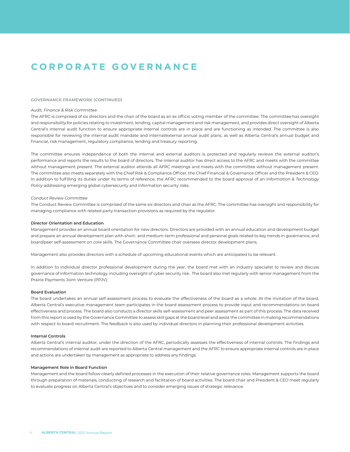# **GOVERNANCE FRAMEWORK (CONTINUED)**

### *Audit, Finance & Risk Committee*

The AFRC is comprised of six directors and the chair of the board as an ex officio voting member of the committee. The committee has oversight and responsibility for policies relating to investment, lending, capital management and risk management, and provides direct oversight of Alberta Central's internal audit function to ensure appropriate internal controls are in place and are functioning as intended. The committee is also responsible for reviewing the internal audit mandate and internal/external annual audit plans, as well as Alberta Central's annual budget and financial, risk management, regulatory compliance, lending and treasury reporting.

The committee ensures independence of both the internal and external auditors is protected and regularly reviews the external auditor's performance and reports the results to the board of directors. The internal auditor has direct access to the AFRC and meets with the committee without management present. The external auditor attends all AFRC meetings and meets with the committee without management present. The committee also meets separately with the Chief Risk & Compliance Officer, the Chief Financial & Governance Officer and the President & CEO. In addition to fulfilling its duties under its terms of reference, the AFRC recommended to the board approval of an *Information & Technology Policy* addressing emerging global cybersecurity and information security risks.

### *Conduct Review Committee*

The Conduct Review Committee is comprised of the same six directors and chair as the AFRC. The committee has oversight and responsibility for managing compliance with related party transaction provisions as required by the regulator.

### **Director Orientation and Education**

Management provides an annual board orientation for new directors. Directors are provided with an annual education and development budget and prepare an annual development plan with short- and medium-term professional and personal goals related to key trends in governance, and board/peer self-assessment on core skills. The Governance Committee chair oversees director development plans.

Management also provides directors with a schedule of upcoming educational events which are anticipated to be relevant.

In addition to individual director professional development during the year, the board met with an industry specialist to review and discuss governance of information technology, including oversight of cyber security risk. The board also met regularly with senior management from the Prairie Payments Joint Venture (PPJV).

# **Board Evaluation**

The board undertakes an annual self-assessment process to evaluate the effectiveness of the board as a whole. At the invitation of the board, Alberta Central's executive management team participates in the board assessment process to provide input and recommendations on board effectiveness and process. The board also conducts a director skills self-assessment and peer assessment as part of this process. The data received from this report is used by the Governance Committee to assess skill gaps at the board level and assist the committee in making recommendations with respect to board recruitment. The feedback is also used by individual directors in planning their professional development activities.

# **Internal Controls**

Alberta Central's internal auditor, under the direction of the AFRC, periodically assesses the effectiveness of internal controls. The findings and recommendations of internal audit are reported to Alberta Central management and the AFRC to ensure appropriate internal controls are in place and actions are undertaken by management as appropriate to address any findings.

## **Management Role in Board Function**

Management and the board follow clearly defined processes in the execution of their relative governance roles. Management supports the board through preparation of materials, conducting of research and facilitation of board activities. The board chair and President & CEO meet regularly to evaluate progress on Alberta Central's objectives and to consider emerging issues of strategic relevance.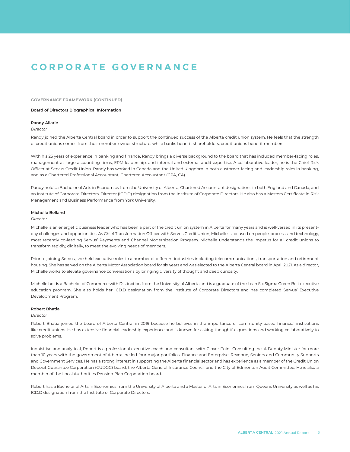**GOVERNANCE FRAMEWORK (CONTINUED)**

# **Board of Directors Biographical Information**

### **Randy Allarie**

#### *Director*

Randy joined the Alberta Central board in order to support the continued success of the Alberta credit union system. He feels that the strength of credit unions comes from their member-owner structure: while banks benefit shareholders, credit unions benefit members.

With his 25 years of experience in banking and finance, Randy brings a diverse background to the board that has included member-facing roles, management at large accounting firms, ERM leadership, and internal and external audit expertise. A collaborative leader, he is the Chief Risk Officer at Servus Credit Union. Randy has worked in Canada and the United Kingdom in both customer-facing and leadership roles in banking, and as a Chartered Professional Accountant, Chartered Accountant (CPA, CA).

Randy holds a Bachelor of Arts in Economics from the University of Alberta, Chartered Accountant designations in both England and Canada, and an Institute of Corporate Directors, Director (ICD.D) designation from the Institute of Corporate Directors. He also has a Masters Certificate in Risk Management and Business Performance from York University.

### **Michelle Belland**

### *Director*

Michelle is an energetic business leader who has been a part of the credit union system in Alberta for many years and is well-versed in its presentday challenges and opportunities. As Chief Transformation Officer with Servus Credit Union, Michelle is focused on people, process, and technology, most recently co-leading Servus' Payments and Channel Modernization Program. Michelle understands the impetus for all credit unions to transform rapidly, digitally, to meet the evolving needs of members.

Prior to joining Servus, she held executive roles in a number of different industries including telecommunications, transportation and retirement housing. She has served on the Alberta Motor Association board for six years and was elected to the Alberta Central board in April 2021. As a director, Michelle works to elevate governance conversations by bringing diversity of thought and deep curiosity.

Michelle holds a Bachelor of Commerce with Distinction from the University of Alberta and is a graduate of the Lean Six Sigma Green Belt executive education program. She also holds her ICD.D designation from the Institute of Corporate Directors and has completed Servus' Executive Development Program.

### **Robert Bhatia**

### *Director*

Robert Bhatia joined the board of Alberta Central in 2019 because he believes in the importance of community-based financial institutions like credit unions. He has extensive financial leadership experience and is known for asking thoughtful questions and working collaboratively to solve problems.

Inquisitive and analytical, Robert is a professional executive coach and consultant with Clover Point Consulting Inc. A Deputy Minister for more than 10 years with the government of Alberta, he led four major portfolios: Finance and Enterprise, Revenue, Seniors and Community Supports and Government Services. He has a strong interest in supporting the Alberta financial sector and has experience as a member of the Credit Union Deposit Guarantee Corporation (CUDGC) board, the Alberta General Insurance Council and the City of Edmonton Audit Committee. He is also a member of the Local Authorities Pension Plan Corporation board.

Robert has a Bachelor of Arts in Economics from the University of Alberta and a Master of Arts in Economics from Queens University as well as his ICD.D designation from the Institute of Corporate Directors.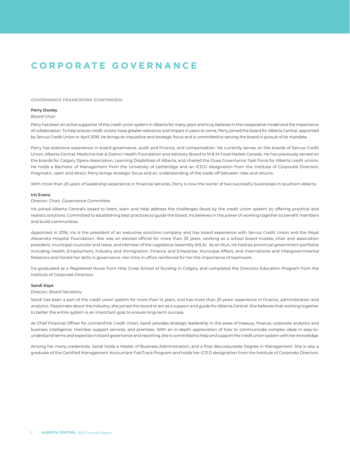# **GOVERNANCE FRAMEWORK (CONTINUED)**

## **Perry Dooley**

# *Board Chair*

Perry has been an active supporter of the credit union system in Alberta for many years and truly believes in the cooperative model and the importance of collaboration. To help ensure credit unions have greater relevance and impact in years to come, Perry joined the board for Alberta Central, appointed by Servus Credit Union in April 2018. He brings an inquisitive and strategic focus and is committed to serving the board in pursuit of its mandate.

Perry has extensive experience in board governance, audit and finance, and compensation. He currently serves on the boards of Servus Credit Union, Alberta Central, Medicine Hat & District Health Foundation and Advisory Board to M & M Food Market Canada. He has previously served on the boards for Calgary Opera Association, Learning Disabilities of Alberta, and chaired the Dues Governance Task Force for Alberta credit unions. He holds a Bachelor of Management from the University of Lethbridge and an ICD.D designation from the Institute of Corporate Directors. Pragmatic, open and direct, Perry brings strategic focus and an understanding of the trade-off between risks and returns.

With more than 20 years of leadership experience in financial services, Perry is now the owner of two successful businesses in southern Alberta.

## **Iris Evans**

### *Director, Chair, Governance Committee*

Iris joined Alberta Central's board to listen, learn and help address the challenges faced by the credit union system by offering practical and realistic solutions. Committed to establishing best practices to guide the board, Iris believes in the power of working together to benefit members and build communities.

Appointed in 2016, Iris is the president of an executive solutions company and has board experience with Servus Credit Union and the Royal Alexandra Hospital Foundation. She was an elected official for more than 33 years, working as a school board trustee, chair and association president, municipal councilor and reeve, and Member of the Legislative Assembly (MLA). As an MLA, Iris held six provincial government portfolios including Health, Employment, Industry and Immigration, Finance and Enterprise, Municipal Affairs, and International and Intergovernmental Relations and honed her skills in governance. Her time in office reinforced for her the importance of teamwork.

Iris graduated as a Registered Nurse from Holy Cross School of Nursing in Calgary and completed the Directors Education Program from the Institute of Corporate Directors.

### **Sandi Kaye**

### *Director, Board Secretary*

Sandi has been a part of the credit union system for more than 14 years, and has more than 25 years' experience in finance, administration and analytics. Passionate about the industry, she joined the board to act as a support and guide for Alberta Central. She believes that working together to better the entire system is an important goal to ensure long-term success.

As Chief Financial Officer for connectFirst Credit Union, Sandi provides strategic leadership in the areas of treasury, finance, corporate analytics and business intelligence, member support services, and premises. With an in-depth appreciation of how to communicate complex ideas in easy-tounderstand terms and expertise in board governance and reporting, she is committed to help and support the credit union system with her knowledge.

Among her many credentials, Sandi holds a Master of Business Administration, and a Post-Baccalaureate Degree in Management. She is also a graduate of the Certified Management Accountant FastTrack Program and holds her ICD.D designation from the Institute of Corporate Directors.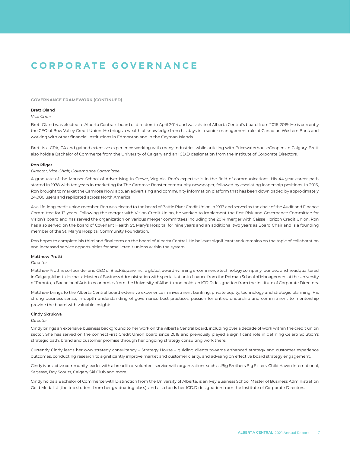# **GOVERNANCE FRAMEWORK (CONTINUED)**

## **Brett Oland**

*Vice Chair*

Brett Oland was elected to Alberta Central's board of directors in April 2014 and was chair of Alberta Central's board from 2016-2019. He is currently the CEO of Bow Valley Credit Union. He brings a wealth of knowledge from his days in a senior management role at Canadian Western Bank and working with other financial institutions in Edmonton and in the Cayman Islands.

Brett is a CPA, CA and gained extensive experience working with many industries while articling with PricewaterhouseCoopers in Calgary. Brett also holds a Bachelor of Commerce from the University of Calgary and an ICD.D designation from the Institute of Corporate Directors.

### **Ron Pilger**

### *Director, Vice Chair, Governance Committee*

A graduate of the Mouser School of Advertising in Crewe, Virginia, Ron's expertise is in the field of communications. His 44-year career path started in 1978 with ten years in marketing for The Camrose Booster community newspaper, followed by escalating leadership positions. In 2016, Ron brought to market the Camrose Now! app, an advertising and community information platform that has been downloaded by approximately 24,000 users and replicated across North America.

As a life-long credit union member, Ron was elected to the board of Battle River Credit Union in 1993 and served as the chair of the Audit and Finance Committee for 12 years. Following the merger with Vision Credit Union, he worked to implement the first Risk and Governance Committee for Vision's board and has served the organization on various merger committees including the 2014 merger with Caisse Horizon Credit Union. Ron has also served on the board of Covenant Health St. Mary's Hospital for nine years and an additional two years as Board Chair and is a founding member of the St. Mary's Hospital Community Foundation.

Ron hopes to complete his third and final term on the board of Alberta Central. He believes significant work remains on the topic of collaboration and increased service opportunities for small credit unions within the system.

### **Matthew Protti**

### *Director*

Matthew Protti is co-founder and CEO of BlackSquare Inc.; a global, award-winning e-commerce technology company founded and headquartered in Calgary, Alberta. He has a Master of Business Administration with specialization in finance from the Rotman School of Management at the University of Toronto, a Bachelor of Arts in economics from the University of Alberta and holds an ICD.D designation from the Institute of Corporate Directors.

Matthew brings to the Alberta Central board extensive experience in investment banking, private equity, technology and strategic planning. His strong business sense, in-depth understanding of governance best practices, passion for entrepreneurship and commitment to mentorship provide the board with valuable insights.

### **Cindy Skrukwa**

### *Director*

Cindy brings an extensive business background to her work on the Alberta Central board, including over a decade of work within the credit union sector. She has served on the connectFirst Credit Union board since 2018 and previously played a significant role in defining Celero Solution's strategic path, brand and customer promise through her ongoing strategy consulting work there.

Currently Cindy leads her own strategy consultancy – Strategy House – guiding clients towards enhanced strategy and customer experience outcomes, conducting research to significantly improve market and customer clarity, and advising on effective board strategy engagement.

Cindy is an active community leader with a breadth of volunteer service with organizations such as Big Brothers Big Sisters, Child Haven International, Sagesse, Boy Scouts, Calgary Ski Club and more.

Cindy holds a Bachelor of Commerce with Distinction from the University of Alberta, is an Ivey Business School Master of Business Administration Gold Medalist (the top student from her graduating class), and also holds her ICD.D designation from the Institute of Corporate Directors.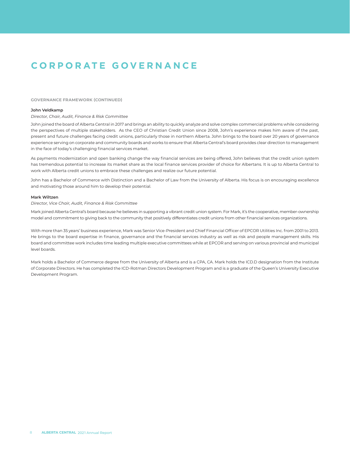# **GOVERNANCE FRAMEWORK (CONTINUED)**

### **John Veldkamp**

### *Director, Chair, Audit, Finance & Risk Committee*

John joined the board of Alberta Central in 2017 and brings an ability to quickly analyze and solve complex commercial problems while considering the perspectives of multiple stakeholders. As the CEO of Christian Credit Union since 2008, John's experience makes him aware of the past, present and future challenges facing credit unions, particularly those in northern Alberta. John brings to the board over 20 years of governance experience serving on corporate and community boards and works to ensure that Alberta Central's board provides clear direction to management in the face of today's challenging financial services market.

As payments modernization and open banking change the way financial services are being offered, John believes that the credit union system has tremendous potential to increase its market share as the local finance services provider of choice for Albertans. It is up to Alberta Central to work with Alberta credit unions to embrace these challenges and realize our future potential.

John has a Bachelor of Commerce with Distinction and a Bachelor of Law from the University of Alberta. His focus is on encouraging excellence and motivating those around him to develop their potential.

### **Mark Wiltzen**

### *Director, Vice Chair, Audit, Finance & Risk Committee*

Mark joined Alberta Central's board because he believes in supporting a vibrant credit union system. For Mark, it's the cooperative, member-ownership model and commitment to giving back to the community that positively differentiates credit unions from other financial services organizations.

With more than 35 years' business experience, Mark was Senior Vice-President and Chief Financial Officer of EPCOR Utilities Inc. from 2001 to 2013. He brings to the board expertise in finance, governance and the financial services industry as well as risk and people management skills. His board and committee work includes time leading multiple executive committees while at EPCOR and serving on various provincial and municipal level boards.

Mark holds a Bachelor of Commerce degree from the University of Alberta and is a CPA, CA. Mark holds the ICD.D designation from the Institute of Corporate Directors. He has completed the ICD-Rotman Directors Development Program and is a graduate of the Queen's University Executive Development Program.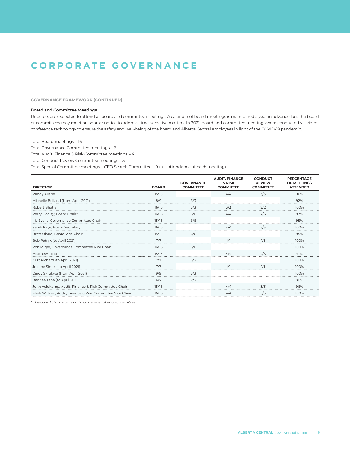# **GOVERNANCE FRAMEWORK (CONTINUED)**

# **Board and Committee Meetings**

Directors are expected to attend all board and committee meetings. A calendar of board meetings is maintained a year in advance, but the board or committees may meet on shorter notice to address time-sensitive matters. In 2021, board and committee meetings were conducted via videoconference technology to ensure the safety and well-being of the board and Alberta Central employees in light of the COVID-19 pandemic.

Total Board meetings – 16

Total Governance Committee meetings – 6

Total Audit, Finance & Risk Committee meetings – 4

Total Conduct Review Committee meetings – 3

Total Special Committee meetings – CEO Search Committee – 9 (full attendance at each meeting)

| <b>DIRECTOR</b>                                          | <b>BOARD</b> | <b>GOVERNANCE</b><br><b>COMMITTEE</b> | <b>AUDIT, FINANCE</b><br>& RISK<br><b>COMMITTEE</b> | <b>CONDUCT</b><br><b>REVIEW</b><br><b>COMMITTEE</b> | <b>PERCENTAGE</b><br>OF MEETINGS<br><b>ATTENDED</b> |
|----------------------------------------------------------|--------------|---------------------------------------|-----------------------------------------------------|-----------------------------------------------------|-----------------------------------------------------|
| Randy Allarie                                            | 15/16        |                                       | 4/4                                                 | 3/3                                                 | 96%                                                 |
| Michelle Belland (from April 2021)                       | 8/9          | 3/3                                   |                                                     |                                                     | 92%                                                 |
| Robert Bhatia                                            | 16/16        | 3/3                                   | 3/3                                                 | 2/2                                                 | 100%                                                |
| Perry Dooley, Board Chair*                               | 16/16        | 6/6                                   | 4/4                                                 | 2/3                                                 | 97%                                                 |
| Iris Evans, Governance Committee Chair                   | 15/16        | 6/6                                   |                                                     |                                                     | 95%                                                 |
| Sandi Kaye, Board Secretary                              | 16/16        |                                       | 4/4                                                 | 3/3                                                 | 100%                                                |
| Brett Oland, Board Vice Chair                            | 15/16        | 6/6                                   |                                                     |                                                     | 95%                                                 |
| Bob Petryk (to April 2021)                               | 7/7          |                                       |                                                     |                                                     | 100%                                                |
| Ron Pilger, Governance Committee Vice Chair              | 16/16        | 6/6                                   |                                                     |                                                     | 100%                                                |
| Matthew Protti                                           | 15/16        |                                       | 4/4                                                 | 2/3                                                 | 91%                                                 |
| Kurt Richard (to April 2021)                             | 7/7          | 3/3                                   |                                                     |                                                     | 100%                                                |
| Joanne Simes (to April 2021)                             | 7/7          |                                       | ٦/٦                                                 |                                                     | 100%                                                |
| Cindy Skrukwa (from April 2021)                          | 9/9          | 3/3                                   |                                                     |                                                     | 100%                                                |
| Badriea Taha (to April 2021)                             | 6/7          | フタ                                    |                                                     |                                                     | 80%                                                 |
| John Veldkamp, Audit, Finance & Risk Committee Chair     | 15/16        |                                       | 4/4                                                 | 3/3                                                 | 96%                                                 |
| Mark Wiltzen, Audit, Finance & Risk Committee Vice Chair | 16/16        |                                       | 4/4                                                 | 3/3                                                 | 100%                                                |

*\* The board chair is an ex officio member of each committee*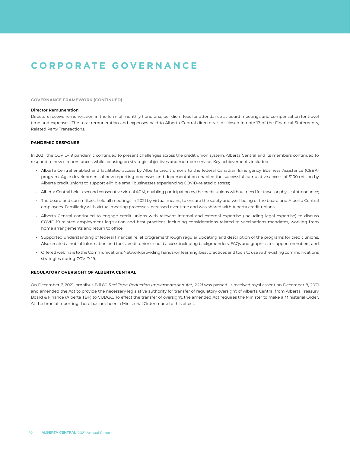# **GOVERNANCE FRAMEWORK (CONTINUED)**

### **Director Remuneration**

Directors receive remuneration in the form of monthly honoraria, per diem fees for attendance at board meetings and compensation for travel time and expenses. The total remuneration and expenses paid to Alberta Central directors is disclosed in note 17 of the Financial Statements, Related Party Transactions.

### **PANDEMIC RESPONSE**

In 2021, the COVID-19 pandemic continued to present challenges across the credit union system. Alberta Central and its members continued to respond to new circumstances while focusing on strategic objectives and member service. Key achievements included:

- Alberta Central enabled and facilitated access by Alberta credit unions to the federal Canadian Emergency Business Assistance (CEBA) program. Agile development of new reporting processes and documentation enabled the successful cumulative access of \$100 million by Alberta credit unions to support eligible small businesses experiencing COVID-related distress;
- Alberta Central held a second consecutive virtual AGM, enabling participation by the credit unions without need for travel or physical attendance;
- The board and committees held all meetings in 2021 by virtual means, to ensure the safety and well-being of the board and Alberta Central employees. Familiarity with virtual meeting processes increased over time and was shared with Alberta credit unions;
- Alberta Central continued to engage credit unions with relevant internal and external expertise (including legal expertise) to discuss COVID-19 related employment legislation and best practices, including considerations related to vaccinations mandates, working from home arrangements and return to office;
- Supported understanding of federal financial relief programs through regular updating and description of the programs for credit unions. Also created a hub of information and tools credit unions could access including backgrounders, FAQs and graphics to support members; and
- Offered webinars to the Communications Network providing hands-on learning, best practices and tools to use with existing communications strategies during COVID-19.

### **REGULATORY OVERSIGHT OF ALBERTA CENTRAL**

On December 7, 2021, omnibus Bill 80 *Red Tape Reduction Implementation Act, 2021* was passed. It received royal assent on December 8, 2021 and amended the Act to provide the necessary legislative authority for transfer of regulatory oversight of Alberta Central from Alberta Treasury Board & Finance (Alberta TBF) to CUDGC. To effect the transfer of oversight, the amended Act requires the Minister to make a Ministerial Order. At the time of reporting there has not been a Ministerial Order made to this effect.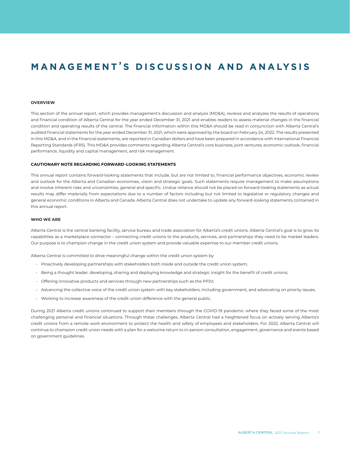### **OVERVIEW**

This section of the annual report, which provides management's discussion and analysis (MD&A), reviews and analyzes the results of operations and financial condition of Alberta Central for the year ended December 31, 2021 and enables readers to assess material changes in the financial condition and operating results of the central. The financial information within this MD&A should be read in conjunction with Alberta Central's audited financial statements for the year ended December 31, 2021, which were approved by the board on February 24, 2022. The results presented in this MD&A, and in the financial statements, are reported in Canadian dollars and have been prepared in accordance with International Financial Reporting Standards (IFRS). This MD&A provides comments regarding Alberta Central's core business, joint ventures, economic outlook, financial performance, liquidity and capital management, and risk management.

### **CAUTIONARY NOTE REGARDING FORWARD-LOOKING STATEMENTS**

This annual report contains forward-looking statements that include, but are not limited to, financial performance objectives, economic review and outlook for the Alberta and Canadian economies, vision and strategic goals. Such statements require management to make assumptions and involve inherent risks and uncertainties, general and specific. Undue reliance should not be placed on forward-looking statements as actual results may differ materially from expectations due to a number of factors including but not limited to legislative or regulatory changes and general economic conditions in Alberta and Canada. Alberta Central does not undertake to update any forward-looking statements contained in this annual report.

### **WHO WE ARE**

Alberta Central is the central banking facility, service bureau and trade association for Alberta's credit unions. Alberta Central's goal is to grow its capabilities as a marketplace connector – connecting credit unions to the products, services, and partnerships they need to be market leaders. Our purpose is to champion change in the credit union system and provide valuable expertise to our member credit unions.

Alberta Central is committed to drive meaningful change within the credit union system by:

- Proactively developing partnerships with stakeholders both inside and outside the credit union system;
- Being a thought leader, developing, sharing and deploying knowledge and strategic insight for the benefit of credit unions;
- Offering innovative products and services through new partnerships such as the PPJV;
- Advancing the collective voice of the credit union system with key stakeholders, including government, and advocating on priority issues;
- Working to increase awareness of the credit union difference with the general public.

During 2021 Alberta credit unions continued to support their members through the COVID-19 pandemic where they faced some of the most challenging personal and financial situations. Through these challenges, Alberta Central had a heightened focus on actively serving Alberta's credit unions from a remote work environment to protect the health and safety of employees and stakeholders. For 2022, Alberta Central will continue to champion credit union needs with a plan for a welcome return to in-person consultation, engagement, governance and events based on government guidelines.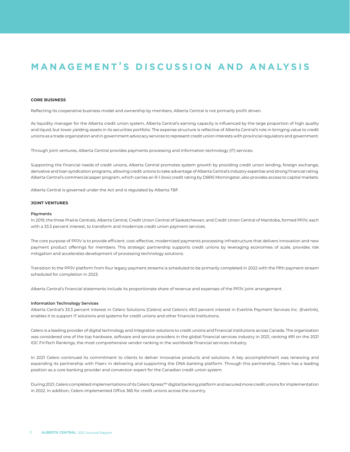# **CORE BUSINESS**

Reflecting its cooperative business model and ownership by members, Alberta Central is not primarily profit driven.

As liquidity manager for the Alberta credit union system, Alberta Central's earning capacity is influenced by the large proportion of high quality and liquid, but lower yielding assets in its securities portfolio. The expense structure is reflective of Alberta Central's role in bringing value to credit unions as a trade organization and in government advocacy services to represent credit union interests with provincial regulators and government.

Through joint ventures, Alberta Central provides payments processing and information technology (IT) services.

Supporting the financial needs of credit unions, Alberta Central promotes system growth by providing credit union lending, foreign exchange, derivative and loan syndication programs, allowing credit unions to take advantage of Alberta Central's industry expertise and strong financial rating. Alberta Central's commercial paper program, which carries an R-1 (low) credit rating by DBRS Morningstar, also provides access to capital markets.

Alberta Central is governed under the Act and is regulated by Alberta TBF.

### **JOINT VENTURES**

#### **Payments**

In 2019, the three Prairie Centrals, Alberta Central, Credit Union Central of Saskatchewan, and Credit Union Central of Manitoba, formed PPJV, each with a 33.3 percent interest, to transform and modernize credit union payment services.

The core purpose of PPJV is to provide efficient, cost-effective, modernized payments processing infrastructure that delivers innovation and new payment product offerings for members. This strategic partnership supports credit unions by leveraging economies of scale, provides risk mitigation and accelerates development of processing technology solutions.

Transition to the PPJV platform from four legacy payment streams is scheduled to be primarily completed in 2022 with the fifth payment stream scheduled for completion in 2023.

Alberta Central's financial statements include its proportionate share of revenue and expenses of the PPJV joint arrangement.

#### **Information Technology Services**

Alberta Central's 33.3 percent interest in Celero Solutions (Celero) and Celero's 49.0 percent interest in Everlink Payment Services Inc. (Everlink), enables it to support IT solutions and systems for credit unions and other financial institutions.

Celero is a leading provider of digital technology and integration solutions to credit unions and financial institutions across Canada. The organization was considered one of the top hardware, software and service providers in the global financial services industry in 2021, ranking #91 on the 2021 IDC FinTech Rankings, the most comprehensive vendor ranking in the worldwide financial services industry.

In 2021 Celero continued its commitment to clients to deliver innovative products and solutions. A key accomplishment was renewing and expanding its partnership with Fiserv in delivering and supporting the DNA banking platform. Through this partnership, Celero has a leading position as a core banking provider and conversion expert for the Canadian credit union system.

During 2021, Celero completed implementations of its Celero Xpress™ digital banking platform and secured more credit unions for implementation in 2022. In addition, Celero implemented Office 365 for credit unions across the country.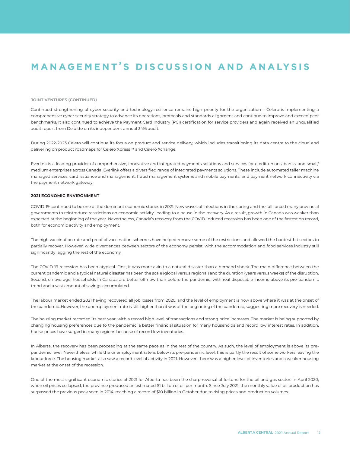### **JOINT VENTURES (CONTINUED)**

Continued strengthening of cyber security and technology resilience remains high priority for the organization – Celero is implementing a comprehensive cyber security strategy to advance its operations, protocols and standards alignment and continue to improve and exceed peer benchmarks. It also continued to achieve the Payment Card Industry (PCI) certification for service providers and again received an unqualified audit report from Deloitte on its independent annual 3416 audit.

During 2022-2023 Celero will continue its focus on product and service delivery, which includes transitioning its data centre to the cloud and delivering on product roadmaps for Celero Xpress™ and Celero Xchange.

Everlink is a leading provider of comprehensive, innovative and integrated payments solutions and services for credit unions, banks, and small/ medium enterprises across Canada. Everlink offers a diversified range of integrated payments solutions. These include automated teller machine managed services, card issuance and management, fraud management systems and mobile payments, and payment network connectivity via the payment network gateway.

### **2021 ECONOMIC ENVIRONMENT**

COVID-19 continued to be one of the dominant economic stories in 2021. New waves of infections in the spring and the fall forced many provincial governments to reintroduce restrictions on economic activity, leading to a pause in the recovery. As a result, growth in Canada was weaker than expected at the beginning of the year. Nevertheless, Canada's recovery from the COVID-induced recession has been one of the fastest on record, both for economic activity and employment.

The high vaccination rate and proof of vaccination schemes have helped remove some of the restrictions and allowed the hardest-hit sectors to partially recover. However, wide divergences between sectors of the economy persist, with the accommodation and food services industry still significantly lagging the rest of the economy.

The COVID-19 recession has been atypical. First, it was more akin to a natural disaster than a demand shock. The main difference between the current pandemic and a typical natural disaster has been the scale (global versus regional) and the duration (years versus weeks) of the disruption. Second, on average, households in Canada are better off now than before the pandemic, with real disposable income above its pre-pandemic trend and a vast amount of savings accumulated.

The labour market ended 2021 having recovered all job losses from 2020, and the level of employment is now above where it was at the onset of the pandemic. However, the unemployment rate is still higher than it was at the beginning of the pandemic, suggesting more recovery is needed.

The housing market recorded its best year, with a record high level of transactions and strong price increases. The market is being supported by changing housing preferences due to the pandemic, a better financial situation for many households and record low interest rates. In addition, house prices have surged in many regions because of record low inventories.

In Alberta, the recovery has been proceeding at the same pace as in the rest of the country. As such, the level of employment is above its prepandemic level. Nevertheless, while the unemployment rate is below its pre-pandemic level, this is partly the result of some workers leaving the labour force. The housing market also saw a record level of activity in 2021. However, there was a higher level of inventories and a weaker housing market at the onset of the recession.

One of the most significant economic stories of 2021 for Alberta has been the sharp reversal of fortune for the oil and gas sector. In April 2020, when oil prices collapsed, the province produced an estimated \$1 billion of oil per month. Since July 2021, the monthly value of oil production has surpassed the previous peak seen in 2014, reaching a record of \$10 billion in October due to rising prices and production volumes.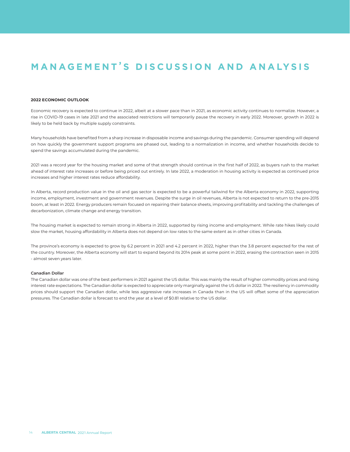# **2022 ECONOMIC OUTLOOK**

Economic recovery is expected to continue in 2022, albeit at a slower pace than in 2021, as economic activity continues to normalize. However, a rise in COVID-19 cases in late 2021 and the associated restrictions will temporarily pause the recovery in early 2022. Moreover, growth in 2022 is likely to be held back by multiple supply constraints.

Many households have benefited from a sharp increase in disposable income and savings during the pandemic. Consumer spending will depend on how quickly the government support programs are phased out, leading to a normalization in income, and whether households decide to spend the savings accumulated during the pandemic.

2021 was a record year for the housing market and some of that strength should continue in the first half of 2022, as buyers rush to the market ahead of interest rate increases or before being priced out entirely. In late 2022, a moderation in housing activity is expected as continued price increases and higher interest rates reduce affordability.

In Alberta, record production value in the oil and gas sector is expected to be a powerful tailwind for the Alberta economy in 2022, supporting income, employment, investment and government revenues. Despite the surge in oil revenues, Alberta is not expected to return to the pre-2015 boom, at least in 2022. Energy producers remain focused on repairing their balance sheets, improving profitability and tackling the challenges of decarbonization, climate change and energy transition.

The housing market is expected to remain strong in Alberta in 2022, supported by rising income and employment. While rate hikes likely could slow the market, housing affordability in Alberta does not depend on low rates to the same extent as in other cities in Canada.

The province's economy is expected to grow by 6.2 percent in 2021 and 4.2 percent in 2022, higher than the 3.8 percent expected for the rest of the country. Moreover, the Alberta economy will start to expand beyond its 2014 peak at some point in 2022, erasing the contraction seen in 2015 - almost seven years later.

### **Canadian Dollar**

The Canadian dollar was one of the best performers in 2021 against the US dollar. This was mainly the result of higher commodity prices and rising interest rate expectations. The Canadian dollar is expected to appreciate only marginally against the US dollar in 2022. The resiliency in commodity prices should support the Canadian dollar, while less aggressive rate increases in Canada than in the US will offset some of the appreciation pressures. The Canadian dollar is forecast to end the year at a level of \$0.81 relative to the US dollar.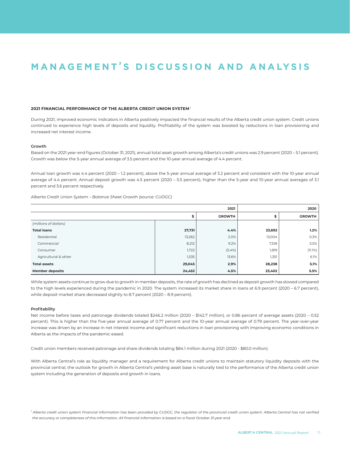### **2021 FINANCIAL PERFORMANCE OF THE ALBERTA CREDIT UNION SYSTEM** <sup>1</sup>

During 2021, improved economic indicators in Alberta positively impacted the financial results of the Alberta credit union system. Credit unions continued to experience high levels of deposits and liquidity. Profitability of the system was boosted by reductions in loan provisioning and increased net interest income.

### **Growth**

Based on the 2021 year-end figures (October 31, 2021), annual total asset growth among Alberta's credit unions was 2.9 percent (2020 – 5.1 percent). Growth was below the 5-year annual average of 3.5 percent and the 10-year annual average of 4.4 percent.

Annual loan growth was 4.4 percent (2020 – 1.2 percent), above the 5-year annual average of 3.2 percent and consistent with the 10-year annual average of 4.4 percent. Annual deposit growth was 4.5 percent (2020 – 5.5 percent), higher than the 5-year and 10-year annual averages of 3.1 percent and 3.6 percent respectively.

*Alberta Credit Union System – Balance Sheet Growth (source: CUDGC)*

| 2021                   |        |               | 2020   |               |
|------------------------|--------|---------------|--------|---------------|
|                        | \$     | <b>GROWTH</b> |        | <b>GROWTH</b> |
| (millions of dollars)  |        |               |        |               |
| <b>Total loans</b>     | 27,731 | 4.4%          | 23,692 | 1.2%          |
| Residential            | 13,262 | 2.0%          | 13,004 | 0.3%          |
| Commercial             | 8,212  | 9.2%          | 7,518  | 5.5%          |
| Consumer               | 1,722  | (5.4%)        | 1,819  | (11.1%)       |
| Agricultural & other   | 1,535  | 13.6%         | 1,351  | 6.1%          |
| <b>Total assets</b>    | 29,045 | 2.9%          | 28,238 | 5.1%          |
| <b>Member deposits</b> | 24,452 | 4.5%          | 23,402 | 5.5%          |

While system assets continue to grow due to growth in member deposits, the rate of growth has declined as deposit growth has slowed compared to the high levels experienced during the pandemic in 2020. The system increased its market share in loans at 6.9 percent (2020 - 6.7 percent), while deposit market share decreased slightly to 8.7 percent (2020 – 8.9 percent).

### **Profitability**

Net income before taxes and patronage dividends totaled \$246.2 million (2020 – \$142.7 million), or 0.86 percent of average assets (2020 – 0.52 percent). This is higher than the five-year annual average of 0.77 percent and the 10-year annual average of 0.79 percent. The year-over-year increase was driven by an increase in net interest income and significant reductions in loan provisioning with improving economic conditions in Alberta as the impacts of the pandemic eased.

Credit union members received patronage and share dividends totaling \$84.1 million during 2021 (2020 - \$80.0 million).

With Alberta Central's role as liquidity manager and a requirement for Alberta credit unions to maintain statutory liquidity deposits with the provincial central, the outlook for growth in Alberta Central's yielding asset base is naturally tied to the performance of the Alberta credit union system including the generation of deposits and growth in loans.

<sup>&</sup>lt;sup>1</sup> Alberta credit union system financial information has been provided by CUDGC, the regulator of the provincial credit union system. Alberta Central has not verified  *the accuracy or completeness of this information. All financial information is based on a fiscal October 31 year end.*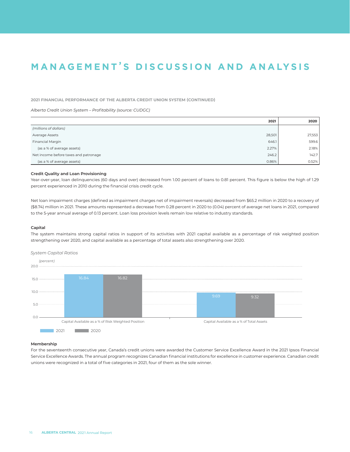**2021 FINANCIAL PERFORMANCE OF THE ALBERTA CREDIT UNION SYSTEM (CONTINUED)**

*Alberta Credit Union System – Profitability (source: CUDGC)*

| 2021                                           | 2020   |
|------------------------------------------------|--------|
| (millions of dollars)                          |        |
| 28,501<br>Average Assets                       | 27,553 |
| <b>Financial Margin</b><br>646.1               | 599.6  |
| (as a % of average assets)<br>2.27%            | 2.18%  |
| Net income before taxes and patronage<br>246.2 | 142.7  |
| (as a % of average assets)<br>0.86%            | 0.52%  |

# **Credit Quality and Loan Provisioning**

Year-over-year, loan delinquencies (60 days and over) decreased from 1.00 percent of loans to 0.81 percent. This figure is below the high of 1.29 percent experienced in 2010 during the financial crisis credit cycle.

Net loan impairment charges (defined as impairment charges net of impairment reversals) decreased from \$65.2 million in 2020 to a recovery of (\$8.74) million in 2021. These amounts represented a decrease from 0.28 percent in 2020 to (0.04) percent of average net loans in 2021, compared to the 5-year annual average of 0.13 percent. Loan loss provision levels remain low relative to industry standards.

### **Capital**

The system maintains strong capital ratios in support of its activities with 2021 capital available as a percentage of risk weighted position strengthening over 2020, and capital available as a percentage of total assets also strengthening over 2020.

## *System Capital Ratios*



### **Membership**

For the seventeenth consecutive year, Canada's credit unions were awarded the Customer Service Excellence Award in the 2021 Ipsos Financial Service Excellence Awards. The annual program recognizes Canadian financial institutions for excellence in customer experience. Canadian credit unions were recognized in a total of five categories in 2021, four of them as the sole winner.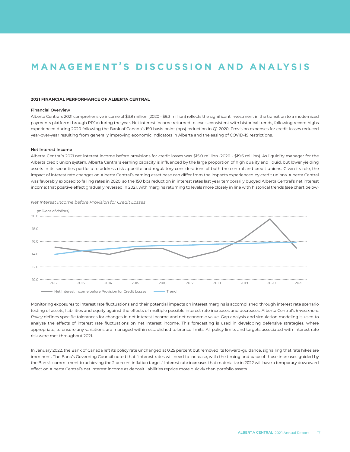### **2021 FINANCIAL PERFORMANCE OF ALBERTA CENTRAL**

### **Financial Overview**

Alberta Central's 2021 comprehensive income of \$3.9 million (2020 - \$9.3 million) reflects the significant investment in the transition to a modernized payments platform through PPJV during the year. Net interest income returned to levels consistent with historical trends, following record highs experienced during 2020 following the Bank of Canada's 150 basis point (bps) reduction in Q1 2020. Provision expenses for credit losses reduced year-over-year resulting from generally improving economic indicators in Alberta and the easing of COVID-19 restrictions.

### **Net Interest Income**

Alberta Central's 2021 net interest income before provisions for credit losses was \$15.0 million (2020 - \$19.6 million). As liquidity manager for the Alberta credit union system, Alberta Central's earning capacity is influenced by the large proportion of high quality and liquid, but lower yielding assets in its securities portfolio to address risk appetite and regulatory considerations of both the central and credit unions. Given its role, the impact of interest rate changes on Alberta Central's earning asset base can differ from the impacts experienced by credit unions. Alberta Central was favorably exposed to falling rates in 2020, so the 150 bps reduction in interest rates last year temporarily buoyed Alberta Central's net interest income; that positive effect gradually reversed in 2021, with margins returning to levels more closely in line with historical trends (see chart below)



*Net Interest Income before Provision for Credit Losses*

Monitoring exposures to interest rate fluctuations and their potential impacts on interest margins is accomplished through interest rate scenario testing of assets, liabilities and equity against the effects of multiple possible interest rate increases and decreases. Alberta Central's *Investment Policy* defines specific tolerances for changes in net interest income and net economic value. Gap analysis and simulation modeling is used to analyze the effects of interest rate fluctuations on net interest income. This forecasting is used in developing defensive strategies, where appropriate, to ensure any variations are managed within established tolerance limits. All policy limits and targets associated with interest rate risk were met throughout 2021.

In January 2022, the Bank of Canada left its policy rate unchanged at 0.25 percent but removed its forward-guidance, signalling that rate hikes are imminent. The Bank's Governing Council noted that "interest rates will need to increase, with the timing and pace of those increases guided by the Bank's commitment to achieving the 2 percent inflation target." Interest rate increases that materialize in 2022 will have a temporary downward effect on Alberta Central's net interest income as deposit liabilities reprice more quickly than portfolio assets.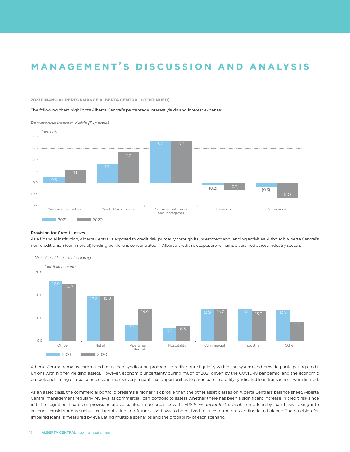# **2021 FINANCIAL PERFORMANCE ALBERTA CENTRAL (CONTINUED)**

The following chart highlights Alberta Central's percentage interest yields and interest expense:



*Percentage Interest Yields (Expense)*

#### **Provision for Credit Losses**

As a financial institution, Alberta Central is exposed to credit risk, primarily through its investment and lending activities. Although Alberta Central's non-credit union (commercial) lending portfolio is concentrated in Alberta, credit risk exposure remains diversified across industry sectors.



Alberta Central remains committed to its loan syndication program to redistribute liquidity within the system and provide participating credit unions with higher yielding assets. However, economic uncertainty during much of 2021 driven by the COVID-19 pandemic, and the economic outlook and timing of a sustained economic recovery, meant that opportunities to participate in quality syndicated loan transactions were limited.

As an asset class, the commercial portfolio presents a higher risk profile than the other asset classes on Alberta Central's balance sheet. Alberta Central management regularly reviews its commercial loan portfolio to assess whether there has been a significant increase in credit risk since initial recognition. Loan loss provisions are calculated in accordance with IFRS 9 *Financial Instruments*, on a loan-by-loan basis, taking into account considerations such as collateral value and future cash flows to be realized relative to the outstanding loan balance. The provision for impaired loans is measured by evaluating multiple scenarios and the probability of each scenario.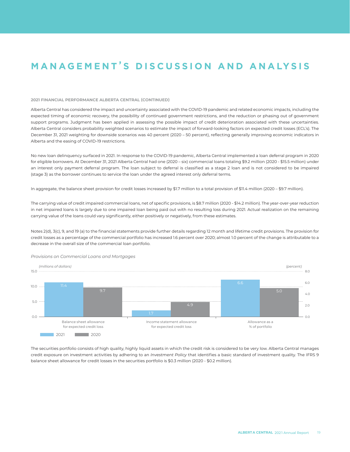### **2021 FINANCIAL PERFORMANCE ALBERTA CENTRAL (CONTINUED)**

Alberta Central has considered the impact and uncertainty associated with the COVID-19 pandemic and related economic impacts, including the expected timing of economic recovery, the possibility of continued government restrictions, and the reduction or phasing out of government support programs. Judgment has been applied in assessing the possible impact of credit deterioration associated with these uncertainties. Alberta Central considers probability weighted scenarios to estimate the impact of forward-looking factors on expected credit losses (ECL's). The December 31, 2021 weighting for downside scenarios was 40 percent (2020 – 50 percent), reflecting generally improving economic indicators in Alberta and the easing of COVID-19 restrictions.

No new loan delinquency surfaced in 2021. In response to the COVID-19 pandemic, Alberta Central implemented a loan deferral program in 2020 for eligible borrowers. At December 31, 2021 Alberta Central had one (2020 – six) commercial loans totaling \$9.2 million (2020 - \$15.5 million) under an interest only payment deferral program. The loan subject to deferral is classified as a stage 2 loan and is not considered to be impaired (stage 3) as the borrower continues to service the loan under the agreed interest only deferral terms.

In aggregate, the balance sheet provision for credit losses increased by \$1.7 million to a total provision of \$11.4 million (2020 – \$9.7 million).

The carrying value of credit impaired commercial loans, net of specific provisions, is \$8.7 million (2020 - \$14.2 million). The year-over-year reduction in net impaired loans is largely due to one impaired loan being paid out with no resulting loss during 2021. Actual realization on the remaining carrying value of the loans could vary significantly, either positively or negatively, from these estimates.

Notes 2(d), 3(c), 9, and 19 (a) to the financial statements provide further details regarding 12 month and lifetime credit provisions. The provision for credit losses as a percentage of the commercial portfolio has increased 1.6 percent over 2020; almost 1.0 percent of the change is attributable to a decrease in the overall size of the commercial loan portfolio.



*Provisions on Commercial Loans and Mortgages*

The securities portfolio consists of high quality, highly liquid assets in which the credit risk is considered to be very low. Alberta Central manages credit exposure on investment activities by adhering to an *Investment Policy* that identifies a basic standard of investment quality. The IFRS 9 balance sheet allowance for credit losses in the securities portfolio is \$0.3 million (2020 - \$0.2 million).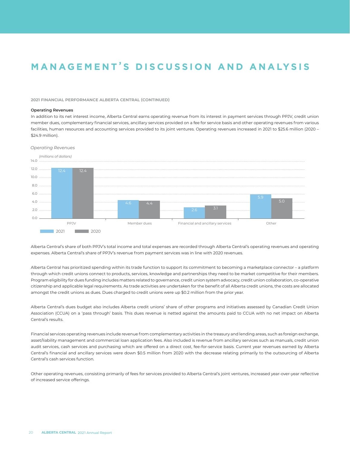**2021 FINANCIAL PERFORMANCE ALBERTA CENTRAL (CONTINUED)**

### **Operating Revenues**

In addition to its net interest income, Alberta Central earns operating revenue from its interest in payment services through PPJV, credit union member dues, complementary financial services, ancillary services provided on a fee for service basis and other operating revenues from various facilities, human resources and accounting services provided to its joint ventures. Operating revenues increased in 2021 to \$25.6 million (2020 – \$24.9 million).

### *Operating Revenues*



Alberta Central's share of both PPJV's total income and total expenses are recorded through Alberta Central's operating revenues and operating expenses. Alberta Central's share of PPJV's revenue from payment services was in line with 2020 revenues.

Alberta Central has prioritized spending within its trade function to support its commitment to becoming a marketplace connector – a platform through which credit unions connect to products, services, knowledge and partnerships they need to be market competitive for their members. Program eligibility for dues funding includes matters related to governance, credit union system advocacy, credit union collaboration, co-operative citizenship and applicable legal requirements. As trade activities are undertaken for the benefit of all Alberta credit unions, the costs are allocated amongst the credit unions as dues. Dues charged to credit unions were up \$0.2 million from the prior year.

Alberta Central's dues budget also includes Alberta credit unions' share of other programs and initiatives assessed by Canadian Credit Union Association (CCUA) on a 'pass through' basis. This dues revenue is netted against the amounts paid to CCUA with no net impact on Alberta Central's results.

Financial services operating revenues include revenue from complementary activities in the treasury and lending areas, such as foreign exchange, asset/liability management and commercial loan application fees. Also included is revenue from ancillary services such as manuals, credit union audit services, cash services and purchasing which are offered on a direct cost, fee-for-service basis. Current year revenues earned by Alberta Central's financial and ancillary services were down \$0.5 million from 2020 with the decrease relating primarily to the outsourcing of Alberta Central's cash services function.

Other operating revenues, consisting primarily of fees for services provided to Alberta Central's joint ventures, increased year-over-year reflective of increased service offerings.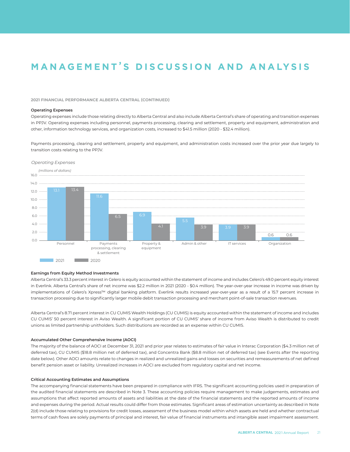**2021 FINANCIAL PERFORMANCE ALBERTA CENTRAL (CONTINUED)**

### **Operating Expenses**

Operating expenses include those relating directly to Alberta Central and also include Alberta Central's share of operating and transition expenses in PPJV. Operating expenses including personnel, payments processing, clearing and settlement, property and equipment, administration and other, information technology services, and organization costs, increased to \$41.5 million (2020 - \$32.4 million).

Payments processing, clearing and settlement, property and equipment, and administration costs increased over the prior year due largely to transition costs relating to the PPJV.

#### *Operating Expenses*



### **Earnings from Equity Method Investments**

Alberta Central's 33.3 percent interest in Celero is equity accounted within the statement of income and includes Celero's 49.0 percent equity interest in Everlink. Alberta Central's share of net income was \$2.2 million in 2021 (2020 - \$0.4 million). The year-over-year increase in income was driven by implementations of Celero's Xpress™ digital banking platform. Everlink results increased year-over-year as a result of a 15.7 percent increase in transaction processing due to significantly larger mobile debit transaction processing and merchant point-of-sale transaction revenues.

Alberta Central's 8.71 percent interest in CU CUMIS Wealth Holdings (CU CUMIS) is equity accounted within the statement of income and includes CU CUMIS' 50 percent interest in Aviso Wealth. A significant portion of CU CUMIS' share of income from Aviso Wealth is distributed to credit unions as limited partnership unitholders. Such distributions are recorded as an expense within CU CUMIS.

### **Accumulated Other Comprehensive Income (AOCI)**

The majority of the balance of AOCI at December 31, 2021 and prior year relates to estimates of fair value in Interac Corporation (\$4.3 million net of deferred tax), CU CUMIS (\$18.8 million net of deferred tax), and Concentra Bank (\$8.8 million net of deferred tax) (see Events after the reporting date below). Other AOCI amounts relate to changes in realized and unrealized gains and losses on securities and remeasurements of net defined benefit pension asset or liability. Unrealized increases in AOCI are excluded from regulatory capital and net income.

### **Critical Accounting Estimates and Assumptions**

The accompanying financial statements have been prepared in compliance with IFRS. The significant accounting policies used in preparation of the audited financial statements are described in Note 3. These accounting policies require management to make judgements, estimates and assumptions that affect reported amounts of assets and liabilities at the date of the financial statements and the reported amounts of income and expenses during the period. Actual results could differ from those estimates. Significant areas of estimation uncertainty as described in Note 2(d) include those relating to provisions for credit losses, assessment of the business model within which assets are held and whether contractual terms of cash flows are solely payments of principal and interest, fair value of financial instruments and intangible asset impairment assessment.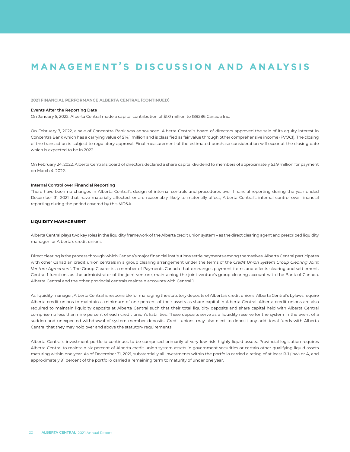**2021 FINANCIAL PERFORMANCE ALBERTA CENTRAL (CONTINUED)**

### **Events After the Reporting Date**

On January 5, 2022, Alberta Central made a capital contribution of \$1.0 million to 189286 Canada Inc.

On February 7, 2022, a sale of Concentra Bank was announced. Alberta Central's board of directors approved the sale of its equity interest in Concentra Bank which has a carrying value of \$14.1 million and is classified as fair value through other comprehensive income (FVOCI). The closing of the transaction is subject to regulatory approval. Final measurement of the estimated purchase consideration will occur at the closing date which is expected to be in 2022.

On February 24, 2022, Alberta Central's board of directors declared a share capital dividend to members of approximately \$3.9 million for payment on March 4, 2022.

### **Internal Control over Financial Reporting**

There have been no changes in Alberta Central's design of internal controls and procedures over financial reporting during the year ended December 31, 2021 that have materially affected, or are reasonably likely to materially affect, Alberta Central's internal control over financial reporting during the period covered by this MD&A.

### **LIQUIDITY MANAGEMENT**

Alberta Central plays two key roles in the liquidity framework of the Alberta credit union system – as the direct clearing agent and prescribed liquidity manager for Alberta's credit unions.

Direct clearing is the process through which Canada's major financial institutions settle payments among themselves. Alberta Central participates with other Canadian credit union centrals in a group clearing arrangement under the terms of the *Credit Union System Group Clearing Joint Venture Agreement*. The Group Clearer is a member of Payments Canada that exchanges payment items and effects clearing and settlement. Central 1 functions as the administrator of the joint venture, maintaining the joint venture's group clearing account with the Bank of Canada. Alberta Central and the other provincial centrals maintain accounts with Central 1.

As liquidity manager, Alberta Central is responsible for managing the statutory deposits of Alberta's credit unions. Alberta Central's bylaws require Alberta credit unions to maintain a minimum of one percent of their assets as share capital in Alberta Central. Alberta credit unions are also required to maintain liquidity deposits at Alberta Central such that their total liquidity deposits and share capital held with Alberta Central comprise no less than nine percent of each credit union's liabilities. These deposits serve as a liquidity reserve for the system in the event of a sudden and unexpected withdrawal of system member deposits. Credit unions may also elect to deposit any additional funds with Alberta Central that they may hold over and above the statutory requirements.

Alberta Central's investment portfolio continues to be comprised primarily of very low risk, highly liquid assets. Provincial legislation requires Alberta Central to maintain six percent of Alberta credit union system assets in government securities or certain other qualifying liquid assets maturing within one year. As of December 31, 2021, substantially all investments within the portfolio carried a rating of at least R-1 (low) or A, and approximately 91 percent of the portfolio carried a remaining term to maturity of under one year.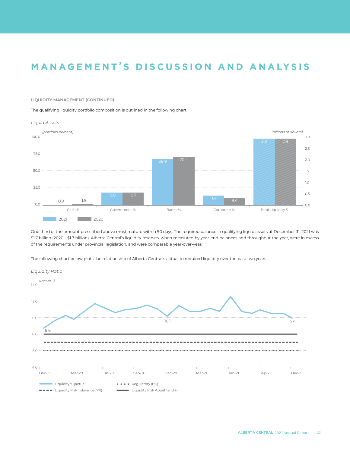# **LIQUIDITY MANAGEMENT (CONTINUED)**

The qualifying liquidity portfolio composition is outlined in the following chart.



One third of the amount prescribed above must mature within 90 days. The required balance in qualifying liquid assets at December 31, 2021 was \$1.7 billion (2020 - \$1.7 billion). Alberta Central's liquidity reserves, when measured by year-end balances and throughout the year, were in excess of the requirements under provincial legislation, and were comparable year-over-year.

The following chart below plots the relationship of Alberta Central's actual to required liquidity over the past two years.

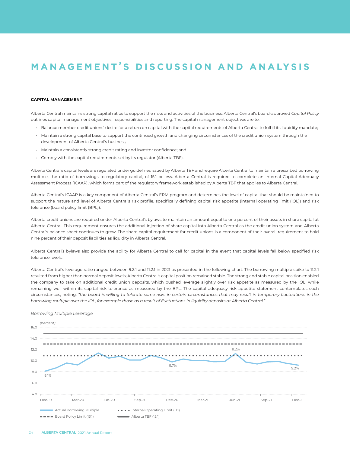### **CAPITAL MANAGEMENT**

Alberta Central maintains strong capital ratios to support the risks and activities of the business. Alberta Central's board-approved *Capital Policy*  outlines capital management objectives, responsibilities and reporting. The capital management objectives are to:

- Balance member credit unions' desire for a return on capital with the capital requirements of Alberta Central to fulfill its liquidity mandate;
- Maintain a strong capital base to support the continued growth and changing circumstances of the credit union system through the development of Alberta Central's business;
- Maintain a consistently strong credit rating and investor confidence; and
- Comply with the capital requirements set by its regulator (Alberta TBF).

Alberta Central's capital levels are regulated under guidelines issued by Alberta TBF and require Alberta Central to maintain a prescribed borrowing multiple, the ratio of borrowings to regulatory capital, of 15:1 or less. Alberta Central is required to complete an Internal Capital Adequacy Assessment Process (ICAAP), which forms part of the regulatory framework established by Alberta TBF that applies to Alberta Central.

Alberta Central's ICAAP is a key component of Alberta Central's ERM program and determines the level of capital that should be maintained to support the nature and level of Alberta Central's risk profile, specifically defining capital risk appetite (internal operating limit (IOL)) and risk tolerance (board policy limit (BPL)).

Alberta credit unions are required under Alberta Central's bylaws to maintain an amount equal to one percent of their assets in share capital at Alberta Central. This requirement ensures the additional injection of share capital into Alberta Central as the credit union system and Alberta Central's balance sheet continues to grow. The share capital requirement for credit unions is a component of their overall requirement to hold nine percent of their deposit liabilities as liquidity in Alberta Central.

Alberta Central's bylaws also provide the ability for Alberta Central to call for capital in the event that capital levels fall below specified risk tolerance levels.

Alberta Central's leverage ratio ranged between 9.2:1 and 11.2:1 in 2021 as presented in the following chart. The borrowing multiple spike to 11.2:1 resulted from higher than normal deposit levels; Alberta Central's capital position remained stable. The strong and stable capital position enabled the company to take on additional credit union deposits, which pushed leverage slightly over risk appetite as measured by the IOL, while remaining well within its capital risk tolerance as measured by the BPL. The capital adequacy risk appetite statement contemplates such circumstances, noting, *"the board is willing to tolerate some risks in certain circumstances that may result in temporary fluctuations in the borrowing multiple over the IOL, for example those as a result of fluctuations in liquidity deposits at Alberta Central."*



*Borrowing Multiple Leverage*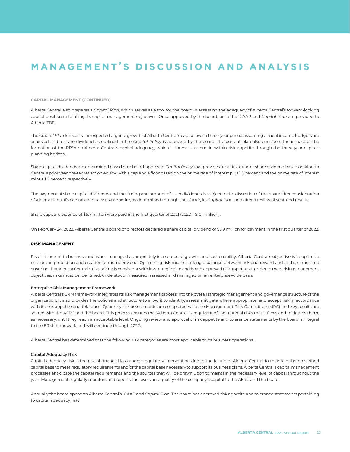### **CAPITAL MANAGEMENT (CONTINUED)**

Alberta Central also prepares a *Capital Plan*, which serves as a tool for the board in assessing the adequacy of Alberta Central's forward-looking capital position in fulfilling its capital management objectives. Once approved by the board, both the ICAAP and *Capital Plan* are provided to Alberta TBF.

The *Capital Plan* forecasts the expected organic growth of Alberta Central's capital over a three-year period assuming annual income budgets are achieved and a share dividend as outlined in the *Capital Policy* is approved by the board. The current plan also considers the impact of the formation of the PPJV on Alberta Central's capital adequacy, which is forecast to remain within risk appetite through the three year capitalplanning horizon.

Share capital dividends are determined based on a board-approved *Capital Policy* that provides for a first quarter share dividend based on Alberta Central's prior year pre-tax return on equity, with a cap and a floor based on the prime rate of interest plus 1.5 percent and the prime rate of interest minus 1.0 percent respectively.

The payment of share capital dividends and the timing and amount of such dividends is subject to the discretion of the board after consideration of Alberta Central's capital adequacy risk appetite, as determined through the ICAAP, its *Capital Pla*n, and after a review of year-end results.

Share capital dividends of \$5.7 million were paid in the first quarter of 2021 (2020 - \$10.1 million).

On February 24, 2022, Alberta Central's board of directors declared a share capital dividend of \$3.9 million for payment in the first quarter of 2022.

# **RISK MANAGEMENT**

Risk is inherent in business and when managed appropriately is a source of growth and sustainability. Alberta Central's objective is to optimize risk for the protection and creation of member value. Optimizing risk means striking a balance between risk and reward and at the same time ensuring that Alberta Central's risk-taking is consistent with its strategic plan and board approved risk appetites. In order to meet risk management objectives, risks must be identified, understood, measured, assessed and managed on an enterprise-wide basis.

### **Enterprise Risk Management Framework**

Alberta Central's ERM framework integrates its risk management process into the overall strategic management and governance structure of the organization. It also provides the policies and structure to allow it to identify, assess, mitigate where appropriate, and accept risk in accordance with its risk appetite and tolerance. Quarterly risk assessments are completed with the Management Risk Committee (MRC) and key results are shared with the AFRC and the board. This process ensures that Alberta Central is cognizant of the material risks that it faces and mitigates them, as necessary, until they reach an acceptable level. Ongoing review and approval of risk appetite and tolerance statements by the board is integral to the ERM framework and will continue through 2022.

Alberta Central has determined that the following risk categories are most applicable to its business operations.

### **Capital Adequacy Risk**

Capital adequacy risk is the risk of financial loss and/or regulatory intervention due to the failure of Alberta Central to maintain the prescribed capital base to meet regulatory requirements and/or the capital base necessary to support its business plans. Alberta Central's capital management processes anticipate the capital requirements and the sources that will be drawn upon to maintain the necessary level of capital throughout the year. Management regularly monitors and reports the levels and quality of the company's capital to the AFRC and the board.

Annually the board approves Alberta Central's ICAAP and *Capital Plan*. The board has approved risk appetite and tolerance statements pertaining to capital adequacy risk.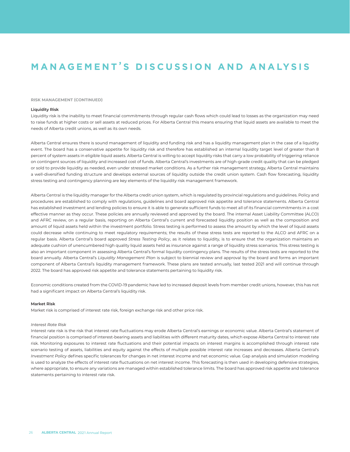### **RISK MANAGEMENT (CONTINUED)**

## **Liquidity Risk**

Liquidity risk is the inability to meet financial commitments through regular cash flows which could lead to losses as the organization may need to raise funds at higher costs or sell assets at reduced prices. For Alberta Central this means ensuring that liquid assets are available to meet the needs of Alberta credit unions, as well as its own needs.

Alberta Central ensures there is sound management of liquidity and funding risk and has a liquidity management plan in the case of a liquidity event. The board has a conservative appetite for liquidity risk and therefore has established an internal liquidity target level of greater than 8 percent of system assets in eligible liquid assets. Alberta Central is willing to accept liquidity risks that carry a low probability of triggering reliance on contingent sources of liquidity and increased cost of funds. Alberta Central's investments are of high-grade credit quality that can be pledged or sold to provide liquidity as needed, even under stressed market conditions. As a further risk management strategy, Alberta Central maintains a well-diversified funding structure and develops external sources of liquidity outside the credit union system. Cash flow forecasting, liquidity stress testing and contingency planning are key elements of the liquidity risk management framework.

Alberta Central is the liquidity manager for the Alberta credit union system, which is regulated by provincial regulations and guidelines. Policy and procedures are established to comply with regulations, guidelines and board approved risk appetite and tolerance statements. Alberta Central has established investment and lending policies to ensure it is able to generate sufficient funds to meet all of its financial commitments in a cost effective manner as they occur. These policies are annually reviewed and approved by the board. The internal Asset Liability Committee (ALCO) and AFRC review, on a regular basis, reporting on Alberta Central's current and forecasted liquidity position as well as the composition and amount of liquid assets held within the investment portfolio. Stress testing is performed to assess the amount by which the level of liquid assets could decrease while continuing to meet regulatory requirements; the results of these stress tests are reported to the ALCO and AFRC on a regular basis. Alberta Central's board approved *Stress Testing Policy*, as it relates to liquidity, is to ensure that the organization maintains an adequate cushion of unencumbered high quality liquid assets held as insurance against a range of liquidity stress scenarios. This stress testing is also an important component in assessing Alberta Central's formal liquidity contingency plans. The results of the stress tests are reported to the board annually. Alberta Central's *Liquidity Management Plan* is subject to biennial review and approval by the board and forms an important component of Alberta Central's liquidity management framework. These plans are tested annually, last tested 2021 and will continue through 2022. The board has approved risk appetite and tolerance statements pertaining to liquidity risk.

Economic conditions created from the COVID-19 pandemic have led to increased deposit levels from member credit unions, however, this has not had a significant impact on Alberta Central's liquidity risk.

## **Market Risk**

Market risk is comprised of interest rate risk, foreign exchange risk and other price risk.

#### *Interest Rate Risk*

Interest rate risk is the risk that interest rate fluctuations may erode Alberta Central's earnings or economic value. Alberta Central's statement of financial position is comprised of interest-bearing assets and liabilities with different maturity dates, which expose Alberta Central to interest rate risk. Monitoring exposures to interest rate fluctuations and their potential impacts on interest margins is accomplished through interest rate scenario testing of assets, liabilities and equity against the effects of multiple possible interest rate increases and decreases. Alberta Central's *Investment Policy* defines specific tolerances for changes in net interest income and net economic value. Gap analysis and simulation modeling is used to analyze the effects of interest rate fluctuations on net interest income. This forecasting is then used in developing defensive strategies, where appropriate, to ensure any variations are managed within established tolerance limits. The board has approved risk appetite and tolerance statements pertaining to interest rate risk.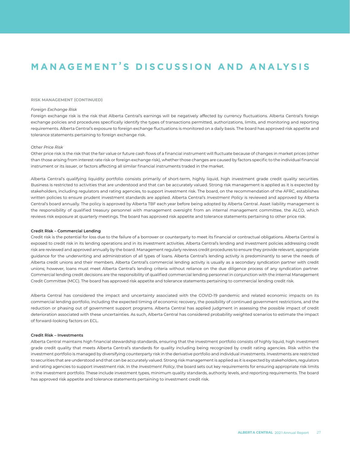### **RISK MANAGEMENT (CONTINUED)**

### *Foreign Exchange Risk*

Foreign exchange risk is the risk that Alberta Central's earnings will be negatively affected by currency fluctuations. Alberta Central's foreign exchange policies and procedures specifically identify the types of transactions permitted, authorizations, limits, and monitoring and reporting requirements. Alberta Central's exposure to foreign exchange fluctuations is monitored on a daily basis. The board has approved risk appetite and tolerance statements pertaining to foreign exchange risk.

### *Other Price Risk*

Other price risk is the risk that the fair value or future cash flows of a financial instrument will fluctuate because of changes in market prices (other than those arising from interest rate risk or foreign exchange risk), whether those changes are caused by factors specific to the individual financial instrument or its issuer, or factors affecting all similar financial instruments traded in the market.

Alberta Central's qualifying liquidity portfolio consists primarily of short-term, highly liquid, high investment grade credit quality securities. Business is restricted to activities that are understood and that can be accurately valued. Strong risk management is applied as it is expected by stakeholders, including regulators and rating agencies, to support investment risk. The board, on the recommendation of the AFRC, establishes written policies to ensure prudent investment standards are applied. Alberta Central's *Investment Policy* is reviewed and approved by Alberta Central's board annually. The policy is approved by Alberta TBF each year before being adopted by Alberta Central. Asset liability management is the responsibility of qualified treasury personnel with management oversight from an internal management committee, the ALCO, which reviews risk exposure at quarterly meetings. The board has approved risk appetite and tolerance statements pertaining to other price risk.

### **Credit Risk – Commercial Lending**

Credit risk is the potential for loss due to the failure of a borrower or counterparty to meet its financial or contractual obligations. Alberta Central is exposed to credit risk in its lending operations and in its investment activities. Alberta Central's lending and investment policies addressing credit risk are reviewed and approved annually by the board. Management regularly reviews credit procedures to ensure they provide relevant, appropriate guidance for the underwriting and administration of all types of loans. Alberta Central's lending activity is predominantly to serve the needs of Alberta credit unions and their members. Alberta Central's commercial lending activity is usually as a secondary syndication partner with credit unions; however, loans must meet Alberta Central's lending criteria without reliance on the due diligence process of any syndication partner. Commercial lending credit decisions are the responsibility of qualified commercial lending personnel in conjunction with the internal Management Credit Committee (MCC). The board has approved risk appetite and tolerance statements pertaining to commercial lending credit risk.

Alberta Central has considered the impact and uncertainty associated with the COVID-19 pandemic and related economic impacts on its commercial lending portfolio, including the expected timing of economic recovery, the possibility of continued government restrictions, and the reduction or phasing out of government support programs. Alberta Central has applied judgment in assessing the possible impact of credit deterioration associated with these uncertainties. As such, Alberta Central has considered probability weighted scenarios to estimate the impact of forward-looking factors on ECL.

### **Credit Risk – Investments**

Alberta Central maintains high financial stewardship standards, ensuring that the investment portfolio consists of highly liquid, high investment grade credit quality that meets Alberta Central's standards for quality including being recognized by credit rating agencies. Risk within the investment portfolio is managed by diversifying counterparty risk in the derivative portfolio and individual investments. Investments are restricted to securities that are understood and that can be accurately valued. Strong risk management is applied as it is expected by stakeholders, regulators and rating agencies to support investment risk. In the *Investment Policy*, the board sets out key requirements for ensuring appropriate risk limits in the investment portfolio. These include investment types, minimum quality standards, authority levels, and reporting requirements. The board has approved risk appetite and tolerance statements pertaining to investment credit risk.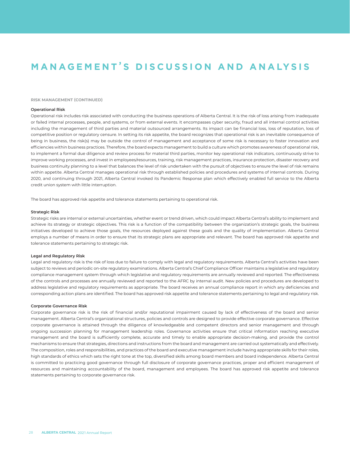## **RISK MANAGEMENT (CONTINUED)**

### **Operational Risk**

Operational risk includes risk associated with conducting the business operations of Alberta Central. It is the risk of loss arising from inadequate or failed internal processes, people, and systems, or from external events. It encompasses cyber security, fraud and all internal control activities including the management of third parties and material outsourced arrangements. Its impact can be financial loss, loss of reputation, loss of competitive position or regulatory censure. In setting its risk appetite, the board recognizes that operational risk is an inevitable consequence of being in business, the risk(s) may be outside the control of management and acceptance of some risk is necessary to foster innovation and efficiencies within business practices. Therefore, the board expects management to build a culture which promotes awareness of operational risk, to implement a formal due diligence and review process for material third parties, monitor key operational risk indicators, continuously strive to improve working processes, and invest in employees/resources, training, risk management practices, insurance protection, disaster recovery and business continuity planning to a level that balances the level of risk undertaken with the pursuit of objectives to ensure the level of risk remains within appetite. Alberta Central manages operational risk through established policies and procedures and systems of internal controls. During 2020, and continuing through 2021, Alberta Central invoked its Pandemic Response plan which effectively enabled full service to the Alberta credit union system with little interruption.

The board has approved risk appetite and tolerance statements pertaining to operational risk.

#### **Strategic Risk**

Strategic risks are internal or external uncertainties, whether event or trend driven, which could impact Alberta Central's ability to implement and achieve its strategy or strategic objectives. This risk is a function of the compatibility between the organization's strategic goals, the business initiatives developed to achieve those goals, the resources deployed against these goals and the quality of implementation. Alberta Central employs a number of means in order to ensure that its strategic plans are appropriate and relevant. The board has approved risk appetite and tolerance statements pertaining to strategic risk.

### **Legal and Regulatory Risk**

Legal and regulatory risk is the risk of loss due to failure to comply with legal and regulatory requirements. Alberta Central's activities have been subject to reviews and periodic on-site regulatory examinations. Alberta Central's Chief Compliance Officer maintains a legislative and regulatory compliance management system through which legislative and regulatory requirements are annually reviewed and reported. The effectiveness of the controls and processes are annually reviewed and reported to the AFRC by internal audit. New policies and procedures are developed to address legislative and regulatory requirements as appropriate. The board receives an annual compliance report in which any deficiencies and corresponding action plans are identified. The board has approved risk appetite and tolerance statements pertaining to legal and regulatory risk.

### **Corporate Governance Risk**

Corporate governance risk is the risk of financial and/or reputational impairment caused by lack of effectiveness of the board and senior management. Alberta Central's organizational structures, policies and controls are designed to provide effective corporate governance. Effective corporate governance is attained through the diligence of knowledgeable and competent directors and senior management and through ongoing succession planning for management leadership roles. Governance activities ensure that critical information reaching executive management and the board is sufficiently complete, accurate and timely to enable appropriate decision-making, and provide the control mechanisms to ensure that strategies, directions and instructions from the board and management are carried out systematically and effectively. The composition, roles and responsibilities, and practices of the board and executive management include having appropriate skills for their roles, high standards of ethics which sets the right tone at the top, diversified skills among board members and board independence. Alberta Central is committed to practicing good governance through full disclosure of corporate governance practices, proper and efficient management of resources and maintaining accountability of the board, management and employees. The board has approved risk appetite and tolerance statements pertaining to corporate governance risk.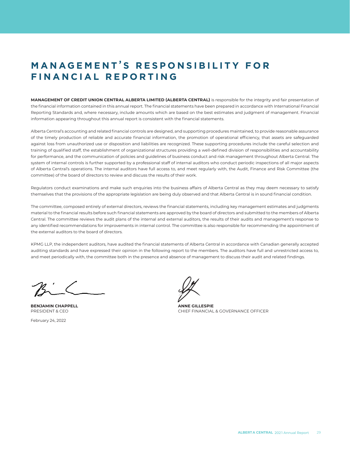# **MANAGEMENT ' S R E S P O N S I B I L I T Y F O R F I N A N C I A L R E P O R T I N G**

**MANAGEMENT OF CREDIT UNION CENTRAL ALBERTA LIMITED (ALBERTA CENTRAL)** is responsible for the integrity and fair presentation of the financial information contained in this annual report. The financial statements have been prepared in accordance with International Financial Reporting Standards and, where necessary, include amounts which are based on the best estimates and judgment of management. Financial information appearing throughout this annual report is consistent with the financial statements.

Alberta Central's accounting and related financial controls are designed, and supporting procedures maintained, to provide reasonable assurance of the timely production of reliable and accurate financial information, the promotion of operational efficiency, that assets are safeguarded against loss from unauthorized use or disposition and liabilities are recognized. These supporting procedures include the careful selection and training of qualified staff, the establishment of organizational structures providing a well-defined division of responsibilities and accountability for performance, and the communication of policies and guidelines of business conduct and risk management throughout Alberta Central. The system of internal controls is further supported by a professional staff of internal auditors who conduct periodic inspections of all major aspects of Alberta Central's operations. The internal auditors have full access to, and meet regularly with, the Audit, Finance and Risk Committee (the committee) of the board of directors to review and discuss the results of their work.

Regulators conduct examinations and make such enquiries into the business affairs of Alberta Central as they may deem necessary to satisfy themselves that the provisions of the appropriate legislation are being duly observed and that Alberta Central is in sound financial condition.

The committee, composed entirely of external directors, reviews the financial statements, including key management estimates and judgments material to the financial results before such financial statements are approved by the board of directors and submitted to the members of Alberta Central. The committee reviews the audit plans of the internal and external auditors, the results of their audits and management's response to any identified recommendations for improvements in internal control. The committee is also responsible for recommending the appointment of the external auditors to the board of directors.

KPMG LLP, the independent auditors, have audited the financial statements of Alberta Central in accordance with Canadian generally accepted auditing standards and have expressed their opinion in the following report to the members. The auditors have full and unrestricted access to, and meet periodically with, the committee both in the presence and absence of management to discuss their audit and related findings.

 $\mathcal{R}^{\prime}$ 

**BENJAMIN CHAPPELL** PRESIDENT & CEO

February 24, 2022

**ANNE GILLESPIE**  CHIEF FINANCIAL & GOVERNANCE OFFICER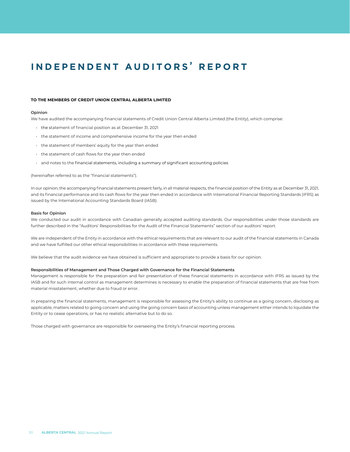# **INDEPENDENT AUDITORS ' REPORT**

# **TO THE MEMBERS OF CREDIT UNION CENTRAL ALBERTA LIMITED**

### **Opinion**

We have audited the accompanying financial statements of Credit Union Central Alberta Limited (the Entity), which comprise:

- the statement of financial position as at December 31, 2021
- the statement of income and comprehensive income for the year then ended
- the statement of members' equity for the year then ended
- the statement of cash flows for the year then ended
- and notes to the financial statements, including a summary of significant accounting policies

(hereinafter referred to as the "financial statements").

In our opinion, the accompanying financial statements present fairly, in all material respects, the financial position of the Entity as at December 31, 2021, and its financial performance and its cash flows for the year then ended in accordance with International Financial Reporting Standards (IFRS) as issued by the International Accounting Standards Board (IASB).

#### **Basis for Opinion**

We conducted our audit in accordance with Canadian generally accepted auditing standards. Our responsibilities under those standards are further described in the "Auditors' Responsibilities for the Audit of the Financial Statements" section of our auditors' report.

We are independent of the Entity in accordance with the ethical requirements that are relevant to our audit of the financial statements in Canada and we have fulfilled our other ethical responsibilities in accordance with these requirements.

We believe that the audit evidence we have obtained is sufficient and appropriate to provide a basis for our opinion.

### **Responsibilities of Management and Those Charged with Governance for the Financial Statements**

Management is responsible for the preparation and fair presentation of these financial statements in accordance with IFRS as issued by the IASB and for such internal control as management determines is necessary to enable the preparation of financial statements that are free from material misstatement, whether due to fraud or error.

In preparing the financial statements, management is responsible for assessing the Entity's ability to continue as a going concern, disclosing as applicable, matters related to going concern and using the going concern basis of accounting unless management either intends to liquidate the Entity or to cease operations, or has no realistic alternative but to do so.

Those charged with governance are responsible for overseeing the Entity's financial reporting process.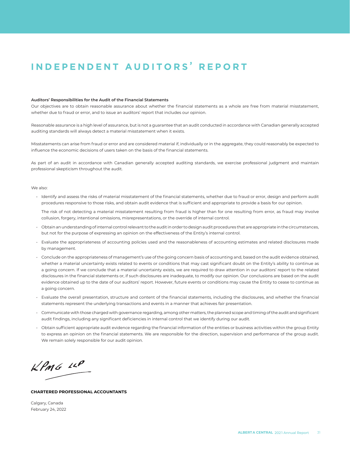# **INDEPENDENT AUDITORS ' REPORT**

### **Auditors' Responsibilities for the Audit of the Financial Statements**

Our objectives are to obtain reasonable assurance about whether the financial statements as a whole are free from material misstatement, whether due to fraud or error, and to issue an auditors' report that includes our opinion.

Reasonable assurance is a high level of assurance, but is not a guarantee that an audit conducted in accordance with Canadian generally accepted auditing standards will always detect a material misstatement when it exists.

Misstatements can arise from fraud or error and are considered material if, individually or in the aggregate, they could reasonably be expected to influence the economic decisions of users taken on the basis of the financial statements.

As part of an audit in accordance with Canadian generally accepted auditing standards, we exercise professional judgment and maintain professional skepticism throughout the audit.

#### We also:

• Identify and assess the risks of material misstatement of the financial statements, whether due to fraud or error, design and perform audit procedures responsive to those risks, and obtain audit evidence that is sufficient and appropriate to provide a basis for our opinion.

The risk of not detecting a material misstatement resulting from fraud is higher than for one resulting from error, as fraud may involve collusion, forgery, intentional omissions, misrepresentations, or the override of internal control.

- Obtain an understanding of internal control relevant to the audit in order to design audit procedures that are appropriate in the circumstances, but not for the purpose of expressing an opinion on the effectiveness of the Entity's internal control.
- Evaluate the appropriateness of accounting policies used and the reasonableness of accounting estimates and related disclosures made by management.
- Conclude on the appropriateness of management's use of the going concern basis of accounting and, based on the audit evidence obtained, whether a material uncertainty exists related to events or conditions that may cast significant doubt on the Entity's ability to continue as a going concern. If we conclude that a material uncertainty exists, we are required to draw attention in our auditors' report to the related disclosures in the financial statements or, if such disclosures are inadequate, to modify our opinion. Our conclusions are based on the audit evidence obtained up to the date of our auditors' report. However, future events or conditions may cause the Entity to cease to continue as a going concern.
- Evaluate the overall presentation, structure and content of the financial statements, including the disclosures, and whether the financial statements represent the underlying transactions and events in a manner that achieves fair presentation.
- Communicate with those charged with governance regarding, among other matters, the planned scope and timing of the audit and significant audit findings, including any significant deficiencies in internal control that we identify during our audit.
- Obtain sufficient appropriate audit evidence regarding the financial information of the entities or business activities within the group Entity to express an opinion on the financial statements. We are responsible for the direction, supervision and performance of the group audit. We remain solely responsible for our audit opinion.

 $kPMC$  11P

# **CHARTERED PROFESSIONAL ACCOUNTANTS**

Calgary, Canada February 24, 2022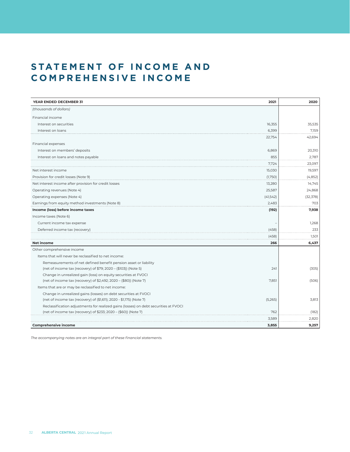# **STATEMENT OF INCOME AND COMPREHENSIVE INCOME**

| YEAR ENDED DECEMBER 31                                                               | 2021      | 2020      |
|--------------------------------------------------------------------------------------|-----------|-----------|
| (thousands of dollars)                                                               |           |           |
| Financial income                                                                     |           |           |
| Interest on securities                                                               | 16,355    | 35,535    |
| Interest on loans                                                                    | 6,399     | 7,159     |
|                                                                                      | 22,754    | 42,694    |
| Financial expenses                                                                   |           |           |
| Interest on members' deposits                                                        | 6,869     | 20,310    |
| Interest on loans and notes payable                                                  | 855       | 2,787     |
|                                                                                      | 7,724     | 23,097    |
| Net interest income                                                                  | 15,030    | 19,597    |
| Provision for credit losses (Note 9)                                                 | (1,750)   | (4, 852)  |
| Net interest income after provision for credit losses                                | 13,280    | 14,745    |
| Operating revenues (Note 4)                                                          | 25,587    | 24,868    |
| Operating expenses (Note 4)                                                          | (41, 542) | (32, 378) |
| Earnings from equity method investments (Note 8)                                     | 2,483     | 703       |
| Income (loss) before income taxes                                                    | (192)     | 7,938     |
| Income taxes (Note 6)                                                                |           |           |
| Current income tax expense                                                           |           | 1,268     |
| Deferred income tax (recovery)                                                       | (458)     | 233       |
|                                                                                      | (458)     | 1,501     |
| <b>Net income</b>                                                                    | 266       | 6,437     |
| Other comprehensive income                                                           |           |           |
| Items that will never be reclassified to net income:                                 |           |           |
| Remeasurements of net defined benefit pension asset or liability                     |           |           |
| (net of income tax (recovery) of \$79; 2020 - (\$103)) (Note 5)                      | 241       | (305)     |
| Change in unrealized gain (loss) on equity securities at FVOCI                       |           |           |
| (net of income tax (recovery) of \$2,492; 2020 - (\$80)) (Note 7)                    | 7,851     | (506)     |
| Items that are or may be reclassified to net income:                                 |           |           |
| Change in unrealized gains (losses) on debt securities at FVOCI                      |           |           |
| (net of income tax (recovery) of (\$1,611); 2020 - \$1,175) (Note 7)                 | (5,265)   | 3,813     |
| Reclassification adjustments for realized gains (losses) on debt securities at FVOCI |           |           |
| (net of income tax (recovery) of \$233; 2020 - (\$60)) (Note 7)                      | 762       | (182)     |
|                                                                                      | 3,589     | 2,820     |
| <b>Comprehensive income</b>                                                          | 3,855     | 9,257     |

*The accompanying notes are an integral part of these financial statements.*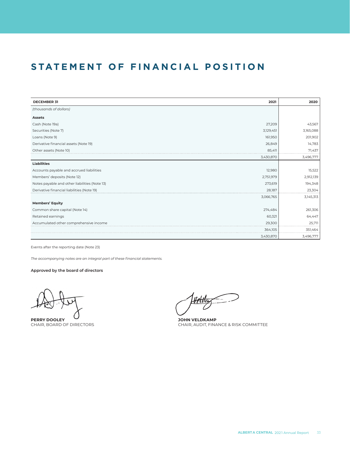# **STATEMENT OF FINANCIAL POSITION**

| <b>DECEMBER 31</b>                            | 2021      | 2020      |
|-----------------------------------------------|-----------|-----------|
| (thousands of dollars)                        |           |           |
| <b>Assets</b>                                 |           |           |
| Cash (Note 19a)                               | 27,209    | 43,567    |
| Securities (Note 7)                           | 3,129,451 | 3,165,088 |
| Loans (Note 9)                                | 161,950   | 201,902   |
| Derivative financial assets (Note 19)         | 26,849    | 14,783    |
| Other assets (Note 10)                        | 85,41     | 71,437    |
|                                               | 3,430,870 | 3,496,777 |
| <b>Liabilities</b>                            |           |           |
| Accounts payable and accrued liabilities      | 12,980    | 15,522    |
| Members' deposits (Note 12)                   | 2,751,979 | 2,912,139 |
| Notes payable and other liabilities (Note 13) | 273,619   | 194,348   |
| Derivative financial liabilities (Note 19)    | 28,187    | 23,304    |
|                                               | 3,066,765 | 3,145,313 |
| <b>Members' Equity</b>                        |           |           |
| Common share capital (Note 14)                | 274,484   | 261,306   |
| Retained earnings                             | 60,321    | 64,447    |
| Accumulated other comprehensive income        | 29,300    | 25,711    |
|                                               | 364,105   | 351,464   |
|                                               | 3,430,870 | 3,496,777 |

Events after the reporting date (Note 23)

*The accompanying notes are an integral part of these financial statements.*

# **Approved by the board of directors**

**PERRY DOOLEY** CHAIR, BOARD OF DIRECTORS

**JOHN VELDKAMP** CHAIR, AUDIT, FINANCE & RISK COMMITTEE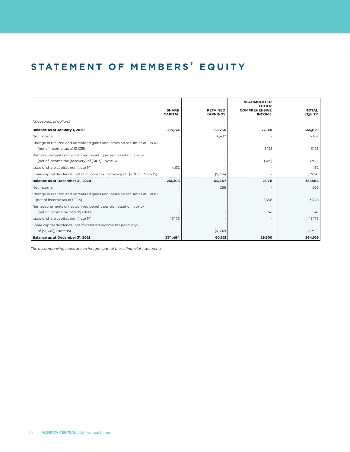# **STATEMENT OF MEMBERS ' EQUITY**

|                                                                               |                |                 | <b>ACCUMULATED</b><br><b>OTHER</b> |               |
|-------------------------------------------------------------------------------|----------------|-----------------|------------------------------------|---------------|
|                                                                               | <b>SHARE</b>   | <b>RETAINED</b> | <b>COMPREHENSIVE</b>               | <b>TOTAL</b>  |
|                                                                               | <b>CAPITAL</b> | <b>EARNINGS</b> | <b>INCOME</b>                      | <b>EQUITY</b> |
| (thousands of dollars)                                                        |                |                 |                                    |               |
| Balance as at January 1, 2020                                                 | 257,174        | 65,764          | 22,891                             | 345,829       |
| Net income                                                                    |                | 6,437           |                                    | 6.437         |
| Change in realized and unrealized gains and losses on securities at FVOCI     |                |                 |                                    |               |
| (net of income tax of \$1,035)                                                |                |                 | 3,125                              | 3,125         |
| Remeasurements of net defined benefit pension asset or liability              |                |                 |                                    |               |
| (net of income tax (recovery) of (\$103)) (Note 5)                            |                |                 | (305)                              | (305)         |
| Issue of share capital, net (Note 14)                                         | 4,132          |                 |                                    | 4.132         |
| Share capital dividends (net of income tax (recovery) of (\$2,383)) (Note 15) |                | (7,754)         |                                    | (7,754)       |
| Balance as at December 31, 2020                                               | 261,306        | 64,447          | 25,711                             | 351,464       |
| Net income                                                                    |                | 266             |                                    | 266           |
| Change in realized and unrealized gains and losses on securities at FVOCI     |                |                 |                                    |               |
| (net of income tax of \$1,114)                                                |                |                 | 3,348                              | 3,348         |
| Remeasurements of net defined benefit pension asset or liability              |                |                 |                                    |               |
| (net of income tax of \$79) (Note 5)                                          |                |                 | 741                                | 241           |
| Issue of share capital, net (Note 14)                                         | 13.178         |                 |                                    | 13.178        |
| Share capital dividends (net of deferred income tax (recovery)                |                |                 |                                    |               |
| of (\$1,345)) (Note 15)                                                       |                | (4, 392)        |                                    | (4, 392)      |
| Balance as at December 31, 2021                                               | 274.484        | 60,321          | 29,300                             | 364,105       |

*The accompanying notes are an integral part of these financial statements.*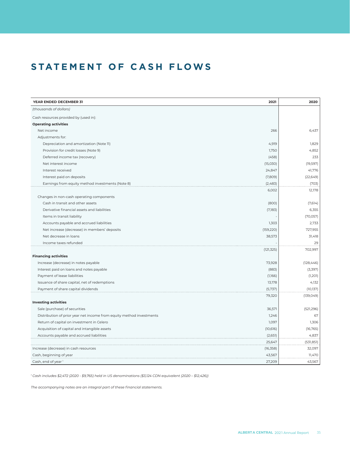# **STATEMENT OF CASH FLOWS**

| YEAR ENDED DECEMBER 31                                               | 2021       | 2020       |
|----------------------------------------------------------------------|------------|------------|
| (thousands of dollars)                                               |            |            |
| Cash resources provided by (used in):                                |            |            |
| <b>Operating activities</b>                                          |            |            |
| Net income                                                           | 266        | 6,437      |
| Adjustments for:                                                     |            |            |
| Depreciation and amortization (Note 11)                              | 4,919      | 1,829      |
| Provision for credit losses (Note 9)                                 | 1,750      | 4,852      |
| Deferred income tax (recovery)                                       | (458)      | 233        |
| Net interest income                                                  | (15,030)   | (19, 597)  |
| Interest received                                                    | 24,847     | 41,776     |
| Interest paid on deposits                                            | (7,809)    | (22, 649)  |
| Earnings from equity method investments (Note 8)                     | (2,483)    | (703)      |
|                                                                      | 6,002      | 12,178     |
| Changes in non-cash operating components                             |            |            |
| Cash in transit and other assets                                     | (800)      | (7,614)    |
| Derivative financial assets and liabilities                          | (7,183)    | 6,355      |
| Items in transit liability                                           |            | (70,057)   |
| Accounts payable and accrued liabilities                             | 1,303      | 2,733      |
| Net increase (decrease) in members' deposits                         | (159, 220) | 727,955    |
| Net decrease in loans                                                | 38,573     | 31,418     |
| Income taxes refunded                                                |            | 29         |
|                                                                      | (121, 325) | 702,997    |
| <b>Financing activities</b>                                          |            |            |
| Increase (decrease) in notes payable                                 | 73,928     | (128, 446) |
| Interest paid on loans and notes payable                             | (883)      | (3,397)    |
| Payment of lease liabilities                                         | (1,166)    | (1,201)    |
| Issuance of share capital, net of redemptions                        | 13,178     | 4,132      |
| Payment of share capital dividends                                   | (5,737)    | (10, 137)  |
|                                                                      | 79,320     | (139, 049) |
| <b>Investing activities</b>                                          |            |            |
| Sale (purchase) of securities                                        | 36,571     | (521, 296) |
| Distribution of prior year net income from equity method investments | 1,246      | 67         |
| Return of capital on investment in Celero                            | 1,097      | 1,306      |
| Acquisition of capital and intangible assets                         | (10, 616)  | (16, 765)  |
| Accounts payable and accrued liabilities                             | (2,651)    | 4,837      |
|                                                                      | 25,647     | (531, 851) |
| Increase (decrease) in cash resources                                | (16,358)   | 32,097     |
| Cash, beginning of year                                              | 43,567     | 11,470     |
| Cash, end of year 1                                                  | 27,209     | 43,567     |

*1 Cash includes \$2,472 (2020 - \$9,765) held in US denominations (\$3,124 CDN equivalent (2020 – \$12,426))* 

*The accompanying notes are an integral part of these financial statements.*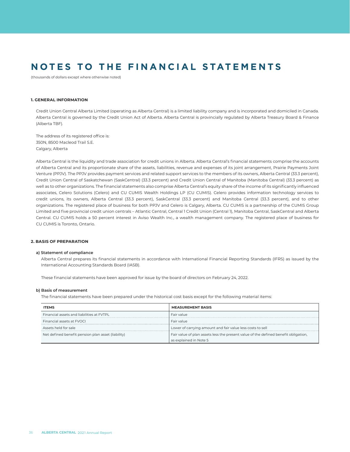(thousands of dollars except where otherwise noted)

# **1. GENERAL INFORMATION**

Credit Union Central Alberta Limited (operating as Alberta Central) is a limited liability company and is incorporated and domiciled in Canada. Alberta Central is governed by the Credit Union Act of Alberta. Alberta Central is provincially regulated by Alberta Treasury Board & Finance (Alberta TBF).

The address of its registered office is: 350N, 8500 Macleod Trail S.E. Calgary, Alberta

Alberta Central is the liquidity and trade association for credit unions in Alberta. Alberta Central's financial statements comprise the accounts of Alberta Central and its proportionate share of the assets, liabilities, revenue and expenses of its joint arrangement, Prairie Payments Joint Venture (PPJV). The PPJV provides payment services and related support services to the members of its owners, Alberta Central (33.3 percent), Credit Union Central of Saskatchewan (SaskCentral) (33.3 percent) and Credit Union Central of Manitoba (Manitoba Central) (33.3 percent) as well as to other organizations. The financial statements also comprise Alberta Central's equity share of the income of its significantly influenced associates, Celero Solutions (Celero) and CU CUMIS Wealth Holdings LP (CU CUMIS). Celero provides information technology services to credit unions, its owners, Alberta Central (33.3 percent), SaskCentral (33.3 percent) and Manitoba Central (33.3 percent), and to other organizations. The registered place of business for both PPJV and Celero is Calgary, Alberta. CU CUMIS is a partnership of the CUMIS Group Limited and five provincial credit union centrals – Atlantic Central, Central 1 Credit Union (Central 1), Manitoba Central, SaskCentral and Alberta Central. CU CUMIS holds a 50 percent interest in Aviso Wealth Inc., a wealth management company. The registered place of business for CU CUMIS is Toronto, Ontario.

# **2. BASIS OF PREPARATION**

#### **a) Statement of compliance**

Alberta Central prepares its financial statements in accordance with International Financial Reporting Standards (IFRS) as issued by the International Accounting Standards Board (IASB).

These financial statements have been approved for issue by the board of directors on February 24, 2022.

#### **b) Basis of measurement**

The financial statements have been prepared under the historical cost basis except for the following material items:

| <b>ITEMS</b>                                       | <b>MEASUREMENT BASIS</b>                                                            |
|----------------------------------------------------|-------------------------------------------------------------------------------------|
| Financial assets and liabilities at EVTPL          | Fair value                                                                          |
| Financial assets at EVOCL                          | Fair value                                                                          |
| Assets held for sale                               | Lower of carrying amount and fair value less costs to sell                          |
| Net defined benefit pension plan asset (liability) | Fair value of plan assets less the present value of the defined benefit obligation, |
|                                                    | as explained in Note 5                                                              |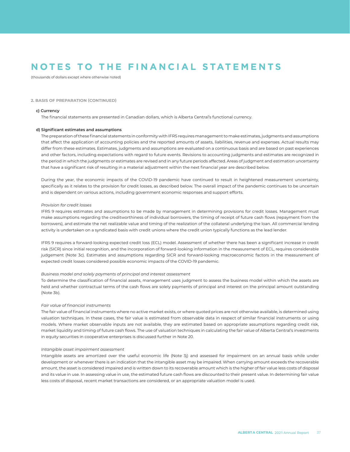(thousands of dollars except where otherwise noted)

### **2. BASIS OF PREPARATION (CONTINUED)**

### **c) Currency**

The financial statements are presented in Canadian dollars, which is Alberta Central's functional currency.

### **d) Significant estimates and assumptions**

The preparation of these financial statements in conformity with IFRS requires management to make estimates, judgments and assumptions that affect the application of accounting policies and the reported amounts of assets, liabilities, revenue and expenses. Actual results may differ from these estimates. Estimates, judgments and assumptions are evaluated on a continuous basis and are based on past experiences and other factors, including expectations with regard to future events. Revisions to accounting judgments and estimates are recognized in the period in which the judgments or estimates are revised and in any future periods affected. Areas of judgment and estimation uncertainty that have a significant risk of resulting in a material adjustment within the next financial year are described below.

During the year, the economic impacts of the COVID-19 pandemic have continued to result in heightened measurement uncertainty, specifically as it relates to the provision for credit losses, as described below. The overall impact of the pandemic continues to be uncertain and is dependent on various actions, including government economic responses and support efforts.

### *Provision for credit losses*

IFRS 9 requires estimates and assumptions to be made by management in determining provisions for credit losses. Management must make assumptions regarding the creditworthiness of individual borrowers, the timing of receipt of future cash flows (repayment from the borrowers), and estimate the net realizable value and timing of the realization of the collateral underlying the loan. All commercial lending activity is undertaken on a syndicated basis with credit unions where the credit union typically functions as the lead lender.

IFRS 9 requires a forward-looking expected credit loss (ECL) model. Assessment of whether there has been a significant increase in credit risk (SICR) since initial recognition, and the incorporation of forward-looking information in the measurement of ECL, requires considerable judgement (Note 3c). Estimates and assumptions regarding SICR and forward-looking macroeconomic factors in the measurement of expected credit losses considered possible economic impacts of the COVID-19 pandemic.

### *Business model and solely payments of principal and interest assessment*

To determine the classification of financial assets, management uses judgment to assess the business model within which the assets are held and whether contractual terms of the cash flows are solely payments of principal and interest on the principal amount outstanding (Note 3b).

### *Fair value of financial instruments*

The fair value of financial instruments where no active market exists, or where quoted prices are not otherwise available, is determined using valuation techniques. In these cases, the fair value is estimated from observable data in respect of similar financial instruments or using models. Where market observable inputs are not available, they are estimated based on appropriate assumptions regarding credit risk, market liquidity and timing of future cash flows. The use of valuation techniques in calculating the fair value of Alberta Central's investments in equity securities in cooperative enterprises is discussed further in Note 20.

### *Intangible asset impairment assessment*

Intangible assets are amortized over the useful economic life (Note 3j) and assessed for impairment on an annual basis while under development or whenever there is an indication that the intangible asset may be impaired. When carrying amount exceeds the recoverable amount, the asset is considered impaired and is written down to its recoverable amount which is the higher of fair value less costs of disposal and its value in use. In assessing value in use, the estimated future cash flows are discounted to their present value. In determining fair value less costs of disposal, recent market transactions are considered, or an appropriate valuation model is used.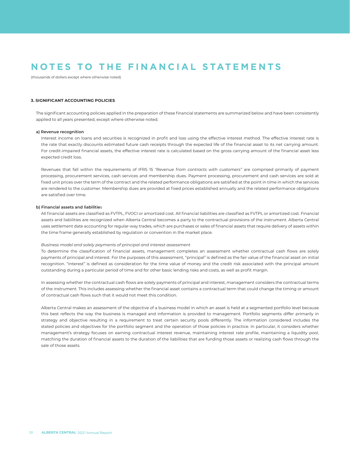(thousands of dollars except where otherwise noted)

# **3. SIGNIFICANT ACCOUNTING POLICIES**

The significant accounting policies applied in the preparation of these financial statements are summarized below and have been consistently applied to all years presented, except where otherwise noted.

#### **a) Revenue recognition**

Interest income on loans and securities is recognized in profit and loss using the effective interest method. The effective interest rate is the rate that exactly discounts estimated future cash receipts through the expected life of the financial asset to its net carrying amount. For credit-impaired financial assets, the effective interest rate is calculated based on the gross carrying amount of the financial asset less expected credit loss.

Revenues that fall within the requirements of IFRS 15 *"Revenue from contracts with customers"* are comprised primarily of payment processing, procurement services, cash services and membership dues. Payment processing, procurement and cash services are sold at fixed unit prices over the term of the contract and the related performance obligations are satisfied at the point in time in which the services are rendered to the customer. Membership dues are provided at fixed prices established annually and the related performance obligations are satisfied over time.

### **b) Financial assets and liabilitie**s

All financial assets are classified as FVTPL, FVOCI or amortized cost. All financial liabilities are classified as FVTPL or amortized cost. Financial assets and liabilities are recognized when Alberta Central becomes a party to the contractual provisions of the instrument. Alberta Central uses settlement date accounting for regular-way trades, which are purchases or sales of financial assets that require delivery of assets within the time frame generally established by regulation or convention in the market place.

#### *Business model and solely payments of principal and interest assessment*

To determine the classification of financial assets, management completes an assessment whether contractual cash flows are solely payments of principal and interest. For the purposes of this assessment, "principal" is defined as the fair value of the financial asset on initial recognition. "Interest" is defined as consideration for the time value of money and the credit risk associated with the principal amount outstanding during a particular period of time and for other basic lending risks and costs, as well as profit margin.

In assessing whether the contractual cash flows are solely payments of principal and interest, management considers the contractual terms of the instrument. This includes assessing whether the financial asset contains a contractual term that could change the timing or amount of contractual cash flows such that it would not meet this condition.

Alberta Central makes an assessment of the objective of a business model in which an asset is held at a segmented portfolio level because this best reflects the way the business is managed and information is provided to management. Portfolio segments differ primarily in strategy and objective resulting in a requirement to treat certain security pools differently. The information considered includes the stated policies and objectives for the portfolio segment and the operation of those policies in practice. In particular, it considers whether management's strategy focuses on earning contractual interest revenue, maintaining interest rate profile, maintaining a liquidity pool, matching the duration of financial assets to the duration of the liabilities that are funding those assets or realizing cash flows through the sale of those assets.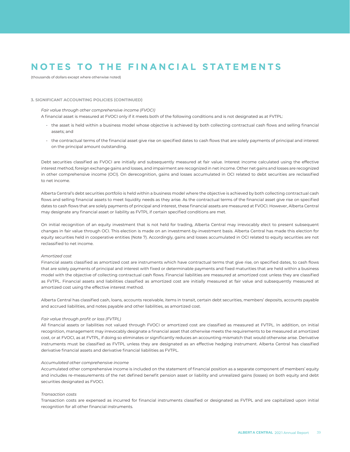(thousands of dollars except where otherwise noted)

## **3. SIGNIFICANT ACCOUNTING POLICIES (CONTINUED)**

*Fair value through other comprehensive income (FVOCI)* A financial asset is measured at FVOCI only if it meets both of the following conditions and is not designated as at FVTPL:

- the asset is held within a business model whose objective is achieved by both collecting contractual cash flows and selling financial assets; and
- the contractual terms of the financial asset give rise on specified dates to cash flows that are solely payments of principal and interest on the principal amount outstanding.

Debt securities classified as FVOCI are initially and subsequently measured at fair value. Interest income calculated using the effective interest method, foreign exchange gains and losses, and impairment are recognized in net income. Other net gains and losses are recognized in other comprehensive income (OCI). On derecognition, gains and losses accumulated in OCI related to debt securities are reclassified to net income.

Alberta Central's debt securities portfolio is held within a business model where the objective is achieved by both collecting contractual cash flows and selling financial assets to meet liquidity needs as they arise. As the contractual terms of the financial asset give rise on specified dates to cash flows that are solely payments of principal and interest, these financial assets are measured at FVOCI. However, Alberta Central may designate any financial asset or liability as FVTPL if certain specified conditions are met.

On initial recognition of an equity investment that is not held for trading, Alberta Central may irrevocably elect to present subsequent changes in fair value through OCI. This election is made on an investment-by-investment basis. Alberta Central has made this election for equity securities held in cooperative entities (Note 7). Accordingly, gains and losses accumulated in OCI related to equity securities are not reclassified to net income.

### *Amortized cost*

Financial assets classified as amortized cost are instruments which have contractual terms that give rise, on specified dates, to cash flows that are solely payments of principal and interest with fixed or determinable payments and fixed maturities that are held within a business model with the objective of collecting contractual cash flows. Financial liabilities are measured at amortized cost unless they are classified as FVTPL. Financial assets and liabilities classified as amortized cost are initially measured at fair value and subsequently measured at amortized cost using the effective interest method.

Alberta Central has classified cash, loans, accounts receivable, items in transit, certain debt securities, members' deposits, accounts payable and accrued liabilities, and notes payable and other liabilities, as amortized cost.

### *Fair value through profit or loss (FVTPL)*

All financial assets or liabilities not valued through FVOCI or amortized cost are classified as measured at FVTPL. In addition, on initial recognition, management may irrevocably designate a financial asset that otherwise meets the requirements to be measured at amortized cost, or at FVOCI, as at FVTPL, if doing so eliminates or significantly reduces an accounting mismatch that would otherwise arise. Derivative instruments must be classified as FVTPL unless they are designated as an effective hedging instrument. Alberta Central has classified derivative financial assets and derivative financial liabilities as FVTPL.

### *Accumulated other comprehensive income*

Accumulated other comprehensive income is included on the statement of financial position as a separate component of members' equity and includes re-measurements of the net defined benefit pension asset or liability and unrealized gains (losses) on both equity and debt securities designated as **FVOCL** 

### *Transaction costs*

Transaction costs are expensed as incurred for financial instruments classified or designated as FVTPL and are capitalized upon initial recognition for all other financial instruments.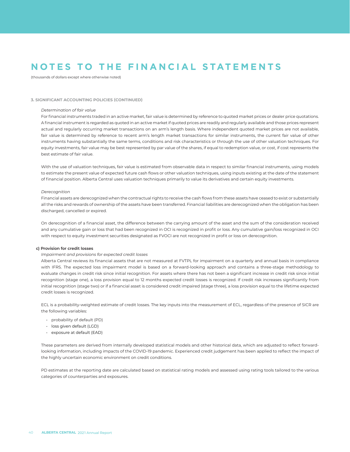(thousands of dollars except where otherwise noted)

### **3. SIGNIFICANT ACCOUNTING POLICIES (CONTINUED)**

### *Determination of fair value*

For financial instruments traded in an active market, fair value is determined by reference to quoted market prices or dealer price quotations. A financial instrument is regarded as quoted in an active market if quoted prices are readily and regularly available and those prices represent actual and regularly occurring market transactions on an arm's length basis. Where independent quoted market prices are not available, fair value is determined by reference to recent arm's length market transactions for similar instruments, the current fair value of other instruments having substantially the same terms, conditions and risk characteristics or through the use of other valuation techniques. For equity investments, fair value may be best represented by par value of the shares, if equal to redemption value, or cost, if cost represents the best estimate of fair value.

With the use of valuation techniques, fair value is estimated from observable data in respect to similar financial instruments, using models to estimate the present value of expected future cash flows or other valuation techniques, using inputs existing at the date of the statement of financial position. Alberta Central uses valuation techniques primarily to value its derivatives and certain equity investments.

### *Derecognition*

Financial assets are derecognized when the contractual rights to receive the cash flows from these assets have ceased to exist or substantially all the risks and rewards of ownership of the assets have been transferred. Financial liabilities are derecognized when the obligation has been discharged, cancelled or expired.

On derecognition of a financial asset, the difference between the carrying amount of the asset and the sum of the consideration received and any cumulative gain or loss that had been recognized in OCI is recognized in profit or loss. Any cumulative gain/loss recognized in OCI with respect to equity investment securities designated as FVOCI are not recognized in profit or loss on derecognition.

### **c) Provision for credit losses**

## *Impairment and provisions for expected credit losses*

Alberta Central reviews its financial assets that are not measured at FVTPL for impairment on a quarterly and annual basis in compliance with IFRS. The expected loss impairment model is based on a forward-looking approach and contains a three-stage methodology to evaluate changes in credit risk since initial recognition. For assets where there has not been a significant increase in credit risk since initial recognition (stage one), a loss provision equal to 12 months expected credit losses is recognized. If credit risk increases significantly from initial recognition (stage two) or if a financial asset is considered credit impaired (stage three), a loss provision equal to the lifetime expected credit losses is recognized.

ECL is a probability-weighted estimate of credit losses. The key inputs into the measurement of ECL, regardless of the presence of SICR are the following variables:

- probability of default (PD)
- loss given default (LGD)
- exposure at default (EAD)

These parameters are derived from internally developed statistical models and other historical data, which are adjusted to reflect forwardlooking information, including impacts of the COVID-19 pandemic. Experienced credit judgement has been applied to reflect the impact of the highly uncertain economic environment on credit conditions.

PD estimates at the reporting date are calculated based on statistical rating models and assessed using rating tools tailored to the various categories of counterparties and exposures.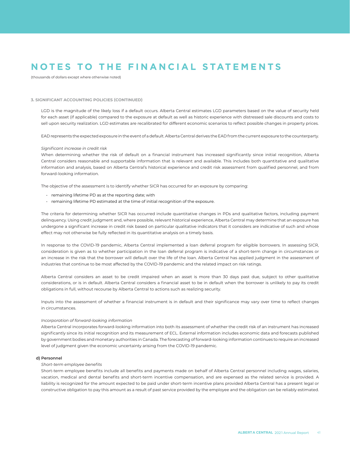(thousands of dollars except where otherwise noted)

# **3. SIGNIFICANT ACCOUNTING POLICIES (CONTINUED)**

LGD is the magnitude of the likely loss if a default occurs. Alberta Central estimates LGD parameters based on the value of security held for each asset (if applicable) compared to the exposure at default as well as historic experience with distressed sale discounts and costs to sell upon security realization. LGD estimates are recalibrated for different economic scenarios to reflect possible changes in property prices.

EAD represents the expected exposure in the event of a default. Alberta Central derives the EAD from the current exposure to the counterparty.

#### *Significant increase in credit risk*

When determining whether the risk of default on a financial instrument has increased significantly since initial recognition, Alberta Central considers reasonable and supportable information that is relevant and available. This includes both quantitative and qualitative information and analysis, based on Alberta Central's historical experience and credit risk assessment from qualified personnel, and from forward-looking information.

The objective of the assessment is to identify whether SICR has occurred for an exposure by comparing:

- remaining lifetime PD as at the reporting date; with
- remaining lifetime PD estimated at the time of initial recognition of the exposure.

The criteria for determining whether SICR has occurred include quantitative changes in PDs and qualitative factors, including payment delinquency. Using credit judgment and, where possible, relevant historical experience, Alberta Central may determine that an exposure has undergone a significant increase in credit risk based on particular qualitative indicators that it considers are indicative of such and whose effect may not otherwise be fully reflected in its quantitative analysis on a timely basis.

In response to the COVID-19 pandemic, Alberta Central implemented a loan deferral program for eligible borrowers. In assessing SICR, consideration is given as to whether participation in the loan deferral program is indicative of a short-term change in circumstances or an increase in the risk that the borrower will default over the life of the loan. Alberta Central has applied judgment in the assessment of industries that continue to be most affected by the COVID-19 pandemic and the related impact on risk ratings.

Alberta Central considers an asset to be credit impaired when an asset is more than 30 days past due, subject to other qualitative considerations, or is in default. Alberta Central considers a financial asset to be in default when the borrower is unlikely to pay its credit obligations in full, without recourse by Alberta Central to actions such as realizing security.

Inputs into the assessment of whether a financial instrument is in default and their significance may vary over time to reflect changes in circumstances.

### *Incorporation of forward-looking information*

Alberta Central incorporates forward-looking information into both its assessment of whether the credit risk of an instrument has increased significantly since its initial recognition and its measurement of ECL. External information includes economic data and forecasts published by government bodies and monetary authorities in Canada. The forecasting of forward-looking information continues to require an increased level of judgment given the economic uncertainty arising from the COVID-19 pandemic.

#### **d) Personnel**

### *Short-term employee benefits*

Short-term employee benefits include all benefits and payments made on behalf of Alberta Central personnel including wages, salaries, vacation, medical and dental benefits and short-term incentive compensation, and are expensed as the related service is provided. A liability is recognized for the amount expected to be paid under short-term incentive plans provided Alberta Central has a present legal or constructive obligation to pay this amount as a result of past service provided by the employee and the obligation can be reliably estimated.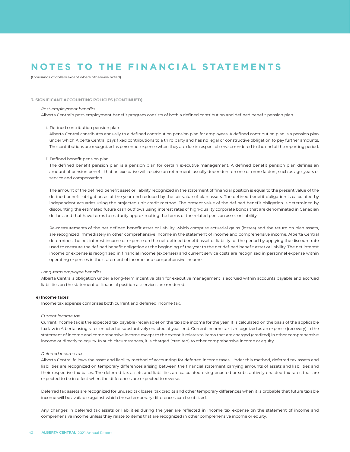(thousands of dollars except where otherwise noted)

## **3. SIGNIFICANT ACCOUNTING POLICIES (CONTINUED)**

### *Post-employment benefits*

Alberta Central's post-employment benefit program consists of both a defined contribution and defined benefit pension plan.

### i. Defined contribution pension plan

Alberta Central contributes annually to a defined contribution pension plan for employees. A defined contribution plan is a pension plan under which Alberta Central pays fixed contributions to a third party and has no legal or constructive obligation to pay further amounts. The contributions are recognized as personnel expense when they are due in respect of service rendered to the end of the reporting period.

### ii.Defined benefit pension plan

The defined benefit pension plan is a pension plan for certain executive management. A defined benefit pension plan defines an amount of pension benefit that an executive will receive on retirement, usually dependent on one or more factors, such as age, years of service and compensation.

The amount of the defined benefit asset or liability recognized in the statement of financial position is equal to the present value of the defined benefit obligation as at the year-end reduced by the fair value of plan assets. The defined benefit obligation is calculated by independent actuaries using the projected unit credit method. The present value of the defined benefit obligation is determined by discounting the estimated future cash outflows using interest rates of high-quality corporate bonds that are denominated in Canadian dollars, and that have terms to maturity approximating the terms of the related pension asset or liability.

Re-measurements of the net defined benefit asset or liability, which comprise actuarial gains (losses) and the return on plan assets, are recognized immediately in other comprehensive income in the statement of income and comprehensive income. Alberta Central determines the net interest income or expense on the net defined benefit asset or liability for the period by applying the discount rate used to measure the defined benefit obligation at the beginning of the year to the net defined benefit asset or liability. The net interest income or expense is recognized in financial income (expenses) and current service costs are recognized in personnel expense within operating expenses in the statement of income and comprehensive income.

### *Long-term employee benefits*

Alberta Central's obligation under a long-term incentive plan for executive management is accrued within accounts payable and accrued liabilities on the statement of financial position as services are rendered.

## **e) Income taxes**

Income tax expense comprises both current and deferred income tax.

### *Current income tax*

Current income tax is the expected tax payable (receivable) on the taxable income for the year. It is calculated on the basis of the applicable tax law in Alberta using rates enacted or substantively enacted at year-end. Current income tax is recognized as an expense (recovery) in the statement of income and comprehensive income except to the extent it relates to items that are charged (credited) in other comprehensive income or directly to equity. In such circumstances, it is charged (credited) to other comprehensive income or equity.

### *Deferred income tax*

Alberta Central follows the asset and liability method of accounting for deferred income taxes. Under this method, deferred tax assets and liabilities are recognized on temporary differences arising between the financial statement carrying amounts of assets and liabilities and their respective tax bases. The deferred tax assets and liabilities are calculated using enacted or substantively enacted tax rates that are expected to be in effect when the differences are expected to reverse.

Deferred tax assets are recognized for unused tax losses, tax credits and other temporary differences when it is probable that future taxable income will be available against which these temporary differences can be utilized.

Any changes in deferred tax assets or liabilities during the year are reflected in income tax expense on the statement of income and comprehensive income unless they relate to items that are recognized in other comprehensive income or equity.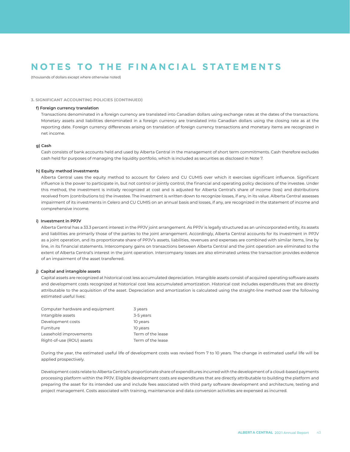(thousands of dollars except where otherwise noted)

# **3. SIGNIFICANT ACCOUNTING POLICIES (CONTINUED)**

### **f) Foreign currency translation**

Transactions denominated in a foreign currency are translated into Canadian dollars using exchange rates at the dates of the transactions. Monetary assets and liabilities denominated in a foreign currency are translated into Canadian dollars using the closing rate as at the reporting date. Foreign currency differences arising on translation of foreign currency transactions and monetary items are recognized in net income.

#### **g) Cash**

Cash consists of bank accounts held and used by Alberta Central in the management of short term commitments. Cash therefore excludes cash held for purposes of managing the liquidity portfolio, which is included as securities as disclosed in Note 7.

### **h) Equity method investments**

Alberta Central uses the equity method to account for Celero and CU CUMIS over which it exercises significant influence. Significant influence is the power to participate in, but not control or jointly control, the financial and operating policy decisions of the investee. Under this method, the investment is initially recognized at cost and is adjusted for Alberta Central's share of income (loss) and distributions received from (contributions to) the investee. The investment is written down to recognize losses, if any, in its value. Alberta Central assesses impairment of its investments in Celero and CU CUMIS on an annual basis and losses, if any, are recognized in the statement of income and comprehensive income.

#### **i) Investment in PPJV**

Alberta Central has a 33.3 percent interest in the PPJV joint arrangement. As PPJV is legally structured as an unincorporated entity, its assets and liabilities are primarily those of the parties to the joint arrangement. Accordingly, Alberta Central accounts for its investment in PPJV as a joint operation, and its proportionate share of PPJV's assets, liabilities, revenues and expenses are combined with similar items, line by line, in its financial statements. Intercompany gains on transactions between Alberta Central and the joint operation are eliminated to the extent of Alberta Central's interest in the joint operation. Intercompany losses are also eliminated unless the transaction provides evidence of an impairment of the asset transferred.

# **j) Capital and intangible assets**

Capital assets are recognized at historical cost less accumulated depreciation. Intangible assets consist of acquired operating software assets and development costs recognized at historical cost less accumulated amortization. Historical cost includes expenditures that are directly attributable to the acquisition of the asset. Depreciation and amortization is calculated using the straight-line method over the following estimated useful lives:

| Computer hardware and equipment | 3 years           |
|---------------------------------|-------------------|
| Intangible assets               | 3-5 years         |
| Development costs               | 10 years          |
| Furniture                       | 10 years          |
| Leasehold improvements          | Term of the lease |
| Right-of-use (ROU) assets       | Term of the lease |

During the year, the estimated useful life of development costs was revised from 7 to 10 years. The change in estimated useful life will be applied prospectively.

Development costs relate to Alberta Central's proportionate share of expenditures incurred with the development of a cloud-based payments processing platform within the PPJV. Eligible development costs are expenditures that are directly attributable to building the platform and preparing the asset for its intended use and include fees associated with third party software development and architecture, testing and project management. Costs associated with training, maintenance and data conversion activities are expensed as incurred.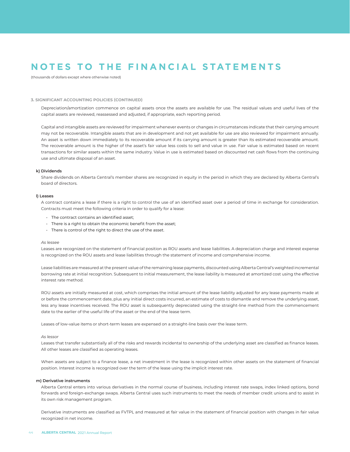(thousands of dollars except where otherwise noted)

# **3. SIGNIFICANT ACCOUNTING POLICIES (CONTINUED)**

Depreciation/amortization commence on capital assets once the assets are available for use. The residual values and useful lives of the capital assets are reviewed, reassessed and adjusted, if appropriate, each reporting period.

Capital and intangible assets are reviewed for impairment whenever events or changes in circumstances indicate that their carrying amount may not be recoverable. Intangible assets that are in development and not yet available for use are also reviewed for impairment annually. An asset is written down immediately to its recoverable amount if its carrying amount is greater than its estimated recoverable amount. The recoverable amount is the higher of the asset's fair value less costs to sell and value in use. Fair value is estimated based on recent transactions for similar assets within the same industry. Value in use is estimated based on discounted net cash flows from the continuing use and ultimate disposal of an asset.

#### **k) Dividends**

Share dividends on Alberta Central's member shares are recognized in equity in the period in which they are declared by Alberta Central's board of directors.

### **l) Leases**

A contract contains a lease if there is a right to control the use of an identified asset over a period of time in exchange for consideration. Contracts must meet the following criteria in order to qualify for a lease:

- $\cdot$  The contract contains an identified asset:
- There is a right to obtain the economic benefit from the asset;
- There is control of the right to direct the use of the asset.

### *As lessee*

Leases are recognized on the statement of financial position as ROU assets and lease liabilities. A depreciation charge and interest expense is recognized on the ROU assets and lease liabilities through the statement of income and comprehensive income.

Lease liabilities are measured at the present value of the remaining lease payments, discounted using Alberta Central's weighted incremental borrowing rate at initial recognition. Subsequent to initial measurement, the lease liability is measured at amortized cost using the effective interest rate method.

ROU assets are initially measured at cost, which comprises the initial amount of the lease liability adjusted for any lease payments made at or before the commencement date, plus any initial direct costs incurred, an estimate of costs to dismantle and remove the underlying asset, less any lease incentives received. The ROU asset is subsequently depreciated using the straight-line method from the commencement date to the earlier of the useful life of the asset or the end of the lease term.

Leases of low-value items or short-term leases are expensed on a straight-line basis over the lease term.

#### *As lessor*

Leases that transfer substantially all of the risks and rewards incidental to ownership of the underlying asset are classified as finance leases. All other leases are classified as operating leases.

When assets are subject to a finance lease, a net investment in the lease is recognized within other assets on the statement of financial position. Interest income is recognized over the term of the lease using the implicit interest rate.

### **m) Derivative instruments**

Alberta Central enters into various derivatives in the normal course of business, including interest rate swaps, index linked options, bond forwards and foreign-exchange swaps. Alberta Central uses such instruments to meet the needs of member credit unions and to assist in its own risk management program.

Derivative instruments are classified as FVTPL and measured at fair value in the statement of financial position with changes in fair value recognized in net income.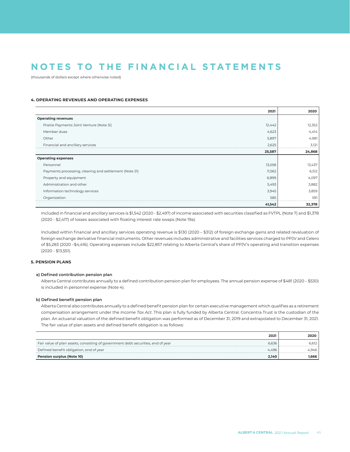(thousands of dollars except where otherwise noted)

# **4. OPERATING REVENUES AND OPERATING EXPENSES**

| 2021                                                             | 2020   |
|------------------------------------------------------------------|--------|
| <b>Operating revenues</b>                                        |        |
| Prairie Payments Joint Venture (Note 3i)<br>12,442               | 12,352 |
| Member dues<br>4,623                                             | 4,414  |
| Other<br>5,897                                                   | 4,981  |
| Financial and ancillary services<br>2,625                        | 3,12   |
| 25,587                                                           | 24,868 |
| <b>Operating expenses</b>                                        |        |
| 13,058<br>Personnel                                              | 13.437 |
| Payments processing, clearing and settlement (Note 21)<br>11,562 | 6,512  |
| Property and equipment<br>6,899                                  | 4,097  |
| Administration and other<br>5,493                                | 3,882  |
| Information technology services<br>3,945                         | 3,859  |
| 585<br>Organization                                              | 59     |
| 41,542                                                           | 32,378 |

Included in financial and ancillary services is \$1,542 (2020 - \$2,497) of income associated with securities classified as FVTPL (Note 7) and \$1,378 (2020 - \$2,417) of losses associated with floating interest rate swaps (Note 19a).

Included within financial and ancillary services operating revenue is \$130 (2020 – \$312) of foreign exchange gains and related revaluation of foreign exchange derivative financial instruments. Other revenues includes administrative and facilities services charged to PPJV and Celero of \$5,283 (2020 –\$4,416). Operating expenses include \$22,857 relating to Alberta Central's share of PPJV's operating and transition expenses (2020 - \$13,551).

### **5. PENSION PLANS**

# **a) Defined contribution pension plan**

Alberta Central contributes annually to a defined contribution pension plan for employees. The annual pension expense of \$481 (2020 – \$530) is included in personnel expense (Note 4).

### **b) Defined benefit pension plan**

Alberta Central also contributes annually to a defined benefit pension plan for certain executive management which qualifies as a retirement compensation arrangement under the *Income Tax Act*. This plan is fully funded by Alberta Central. Concentra Trust is the custodian of the plan. An actuarial valuation of the defined benefit obligation was performed as of December 31, 2019 and extrapolated to December 31, 2021. The fair value of plan assets and defined benefit obligation is as follows:

|                                                                                  | 2021       | 2020 |
|----------------------------------------------------------------------------------|------------|------|
| Fair value of plan assets, consisting of government debt securities, end of year | 6.636      |      |
| Defined benefit obligation, end of year                                          | 4.496<br>. |      |
| <b>Pension surplus (Note 10)</b>                                                 | 2.140      |      |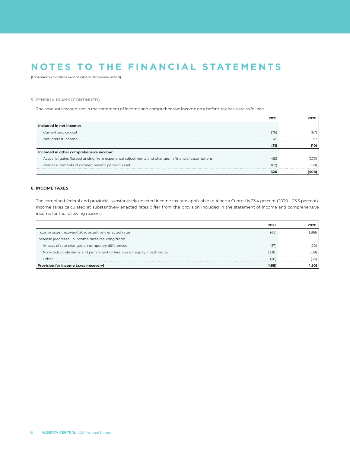(thousands of dollars except where otherwise noted)

# **5. PENSION PLANS (CONTINUED)**

The amounts recognized in the statement of income and comprehensive income on a before-tax basis are as follows:

| Included in net income:                                                                           |      |
|---------------------------------------------------------------------------------------------------|------|
| Current service cost<br>76                                                                        |      |
| Net interest income                                                                               |      |
| (31                                                                                               | (10) |
| Included in other comprehensive income:                                                           |      |
| Actuarial gains (losses) arising from experience adjustments and changes in financial assumptions |      |
| Remeasurements of defined benefit pension asset<br>(162                                           | 138  |
|                                                                                                   |      |

# **6. INCOME TAXES**

The combined federal and provincial substantively enacted income tax rate applicable to Alberta Central is 23.4 percent (2020 – 23.5 percent). Income taxes calculated at substantively enacted rates differ from the provision included in the statement of income and comprehensive income for the following reasons:

| 2021                                                                          |        |
|-------------------------------------------------------------------------------|--------|
| (45)<br>Income taxes (recovery) at substantively enacted rates                | 1.866  |
| Increase (decrease) in income taxes resulting from:                           |        |
| (37)<br>Impact of rate changes on temporary differences                       | (20) l |
| Non-deductible items and permanent differences on equity investments<br>(338) | (309)  |
| (38)<br>Other                                                                 | (36)   |
| Provision for income taxes (recovery)<br>(458)                                | 1.501  |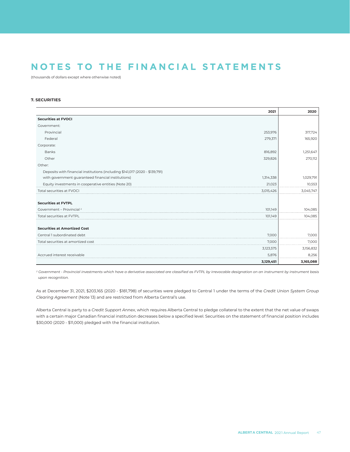(thousands of dollars except where otherwise noted)

# **7. SECURITIES**

|                                                                              | 2021    | 2020      |
|------------------------------------------------------------------------------|---------|-----------|
| <b>Securities at FVOCI</b>                                                   |         |           |
| Government:                                                                  |         |           |
| Provincial                                                                   | 253,976 | 317,724   |
| Federal                                                                      | 279,371 | 165,920   |
| Corporate:                                                                   |         |           |
| Banks                                                                        | 816,892 | 1,251,647 |
| Other                                                                        | 329,826 | 270,112   |
| Other:                                                                       |         |           |
| Deposits with financial institutions (including \$141,017 (2020 - \$139,791) |         |           |
| with government guaranteed financial institutions)<br>1,314,338              |         | 1,029,791 |
| Equity investments in cooperative entities (Note 20)                         | 21,023  | 10,553    |
| <b>Total securities at FVOCI</b><br>3,015,426                                |         | 3,045,747 |
|                                                                              |         |           |
| <b>Securities at FVTPL</b>                                                   |         |           |
| Government - Provincial <sup>2</sup>                                         | 101,149 | 104,085   |
| <b>Total securities at FVTPL</b>                                             | 101,149 | 104,085   |
|                                                                              |         |           |
| <b>Securities at Amortized Cost</b>                                          |         |           |
| Central 1 subordinated debt                                                  | 7,000   | 7,000     |
| Total securities at amortized cost                                           | 7,000   | 7,000     |
| 3,123,575                                                                    |         | 3,156,832 |
| Accrued interest receivable                                                  | 5,876   | 8,256     |
| 3,129,451                                                                    |         | 3,165,088 |

<sup>2</sup> Government - Provincial investments which have a derivative associated are classified as FVTPL by irrevocable designation on an instrument by instrument basis  *upon recognition.*

As at December 31, 2021, \$203,165 (2020 - \$181,798) of securities were pledged to Central 1 under the terms of the *Credit Union System Group Clearing Agreement* (Note 13) and are restricted from Alberta Central's use.

Alberta Central is party to a *Credit Support Annex*, which requires Alberta Central to pledge collateral to the extent that the net value of swaps with a certain major Canadian financial institution decreases below a specified level. Securities on the statement of financial position includes \$30,000 (2020 - \$11,000) pledged with the financial institution.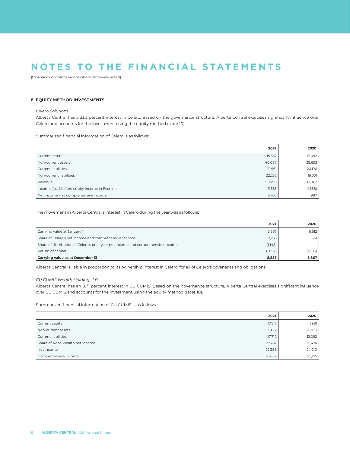(thousands of dollars except where otherwise noted)

# **8. EQUITY METHOD INVESTMENTS**

### *Celero Solutions*

Alberta Central has a 33.3 percent interest in Celero. Based on the governance structure, Alberta Central exercises significant influence over Celero and accounts for the investment using the equity method (Note 10).

Summarized financial information of Celero is as follows:

|                                                | 2021   | 2020    |
|------------------------------------------------|--------|---------|
| Current assets                                 | 15,657 | 17,092  |
| Non-current assets                             | 46,087 | 39,693  |
| <b>Current liabilities</b>                     | 21,961 | 20,176  |
| Non-current liabilities                        | 22,232 | 19,031  |
| Revenue                                        | 90,796 | 80,062  |
| Income (loss) before equity income in Everlink | 3,663  | (1,858) |
| Net income and comprehensive income            | 6,703  | 987     |

The movement in Alberta Central's interest in Celero during the year was as follows:

|                                                                                  | 2021    | 2020  |
|----------------------------------------------------------------------------------|---------|-------|
| Carrying value at January 1                                                      | 5,867   | 6.812 |
| Share of Celero's net income and comprehensive income                            | 2,235   | 361   |
| Share of distribution of Celero's prior year net income and comprehensive income | (1,148) |       |
| Return of capital                                                                | (1,097) | .306) |
| Carrying value as at December 31                                                 | 5,857   | 5.867 |

Alberta Central is liable in proportion to its ownership interest in Celero, for all of Celero's covenants and obligations.

# *CU CUMIS Wealth Holdings LP*

Alberta Central has an 8.71 percent interest in CU CUMIS. Based on the governance structure, Alberta Central exercises significant influence over CU CUMIS and accounts for the investment using the equity method (Note 10).

Summarized financial information of CU CUMIS is as follows:

| 2021                                       | 2020    |
|--------------------------------------------|---------|
| 17,517<br>Current assets                   | 11,981  |
| 129,817<br>Non-current assets              | 126,733 |
| 17,712<br><b>Current liabilities</b>       | 12,092  |
| Share of Aviso Wealth net income<br>27,782 | 25,474  |
| 22,388<br>Net income                       | 24,210  |
| Comprehensive income<br>21,059             | 25,125  |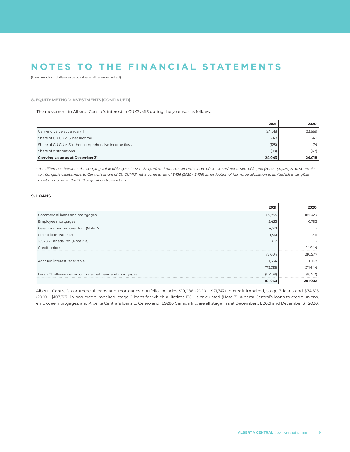(thousands of dollars except where otherwise noted)

# **8. EQUITY METHOD INVESTMENTS (CONTINUED)**

The movement in Alberta Central's interest in CU CUMIS during the year was as follows:

|                                                      | 2021   | 2020   |
|------------------------------------------------------|--------|--------|
| Carrying value at January 1                          | 24,018 | 23.669 |
| Share of CU CUMIS' net income 3                      | 248    | 342    |
| Share of CU CUMIS' other comprehensive income (loss) | (125)  | 74     |
| Share of distributions                               | (98)   | (67)   |
| <b>Carrying value as at December 31</b>              | 24.043 | 24,018 |

<sup>3</sup> *The difference between the carrying value of \$24,043 (2020 - \$24,018) and Alberta Central's share of CU CUMIS' net assets of \$11,180 (2020 - \$11,029) is attributable*  to intangible assets. Alberta Central's share of CU CUMIS' net income is net of \$436 (2020 - \$436) amortization of fair value allocation to limited life intangible  *assets acquired in the 2018 acquisition transaction.*

# **9. LOANS**

| 2021                                                              | 2020    |
|-------------------------------------------------------------------|---------|
| 159,795<br>Commercial loans and mortgages                         | 187.029 |
| 5,425<br>Employee mortgages                                       | 6,793   |
| Celero authorized overdraft (Note 17)<br>4,62                     |         |
| Celero Ioan (Note 17)<br>1,361                                    | 1.811   |
| 189286 Canada Inc. (Note 19a)<br>802                              |         |
| Credit unions                                                     | 4944    |
| 172,004                                                           | 210.577 |
| Accrued interest receivable<br>1.354                              | 1.067   |
| 173.358                                                           | 211,644 |
| Less ECL allowances on commercial loans and mortgages<br>(11.408) | (9.742  |
| 161,950                                                           |         |

Alberta Central's commercial loans and mortgages portfolio includes \$19,088 (2020 - \$21,747) in credit-impaired, stage 3 loans and \$74,615 (2020 - \$107,727) in non credit-impaired, stage 2 loans for which a lifetime ECL is calculated (Note 3). Alberta Central's loans to credit unions, employee mortgages, and Alberta Central's loans to Celero and 189286 Canada Inc. are all stage 1 as at December 31, 2021 and December 31, 2020.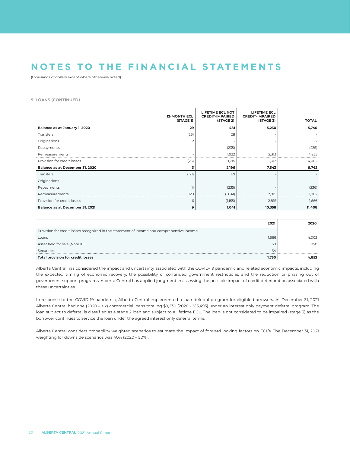(thousands of dollars except where otherwise noted)

# **9. LOANS (CONTINUED)**

|                                 | <b>12-MONTH ECL</b><br>(STAGE 1) | <b>LIFETIME ECL NOT</b><br><b>CREDIT-IMPAIRED</b><br>(STAGE 2) | <b>LIFETIME ECL</b><br><b>CREDIT-IMPAIRED</b><br>(STAGE 3) | <b>TOTAL</b> |
|---------------------------------|----------------------------------|----------------------------------------------------------------|------------------------------------------------------------|--------------|
| Balance as at January 1, 2020   | 29                               | 481                                                            | 5,230                                                      | 5,740        |
| Transfers                       | (28)                             | 28                                                             |                                                            |              |
| Originations                    |                                  |                                                                |                                                            |              |
| Repayments                      |                                  | (235)                                                          |                                                            | (235)        |
| Remeasurements                  |                                  | 1.922                                                          | 2,313                                                      | 4.235        |
| Provision for credit losses     | (26                              | .715                                                           | 2,313                                                      | 4,002        |
| Balance as at December 31, 2020 |                                  | 2,196                                                          | 7,543                                                      | 9,742        |
| Transfers                       | (121)                            | 121                                                            |                                                            |              |
| Originations                    |                                  |                                                                |                                                            |              |
| Repayments                      |                                  | (235)                                                          |                                                            | (236)        |
| Remeasurements                  | 128                              | (1.041)                                                        | 2,815                                                      | 1.902        |
| Provision for credit losses     | 6                                | (1,155)                                                        | 2,815                                                      | 1.666        |
| Balance as at December 31, 2021 | 9                                | 1,041                                                          | 10,358                                                     | 11,408       |

|                                                                                             | 2021  | 202 |
|---------------------------------------------------------------------------------------------|-------|-----|
| Provision for credit losses recognized in the statement of income and comprehensive income: |       |     |
| Loans                                                                                       | 1,666 |     |
| Asset held for sale (Note 10)                                                               | 50    | 850 |
| Securities                                                                                  | 34    |     |
| <b>Total provision for credit losses</b>                                                    | 1.750 |     |

Alberta Central has considered the impact and uncertainty associated with the COVID-19 pandemic and related economic impacts, including the expected timing of economic recovery, the possibility of continued government restrictions, and the reduction or phasing out of government support programs. Alberta Central has applied judgment in assessing the possible impact of credit deterioration associated with these uncertainties.

In response to the COVID-19 pandemic, Alberta Central implemented a loan deferral program for eligible borrowers. At December 31, 2021 Alberta Central had one (2020 – six) commercial loans totaling \$9,230 (2020 - \$15,495) under an interest only payment deferral program. The loan subject to deferral is classified as a stage 2 loan and subject to a lifetime ECL. The loan is not considered to be impaired (stage 3) as the borrower continues to service the loan under the agreed interest only deferral terms.

Alberta Central considers probability weighted scenarios to estimate the impact of forward looking factors on ECL's. The December 31, 2021 weighting for downside scenarios was 40% (2020 – 50%).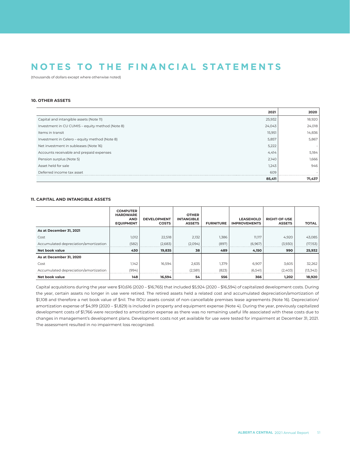(thousands of dollars except where otherwise noted)

# **10. OTHER ASSETS**

|                                                           | 2021   | 2020   |
|-----------------------------------------------------------|--------|--------|
| Capital and intangible assets (Note 11)<br>25,932         |        | 18,920 |
| Investment in CU CUMIS - equity method (Note 8)<br>24,043 |        | 24,018 |
| Items in transit                                          | 15,951 | 14,836 |
| Investment in Celero – equity method (Note 8)             | 5,857  | 5,867  |
| Net investment in subleases (Note 16)                     | 5,222  |        |
| Accounts receivable and prepaid expenses                  | 4,414  | 5,184  |
| Pension surplus (Note 5)                                  | 2,140  | 1,666  |
| Asset held for sale                                       | 1,243  | 946    |
| Deferred income tax asset                                 | 609    |        |
| 85,411                                                    |        | 71.437 |

# **11. CAPITAL AND INTANGIBLE ASSETS**

|                                       | <b>COMPUTER</b><br><b>HARDWARE</b><br><b>AND</b><br><b>EQUIPMENT</b> | <b>DEVELOPMENT</b><br><b>COSTS</b> | <b>OTHER</b><br><b>INTANGIBLE</b><br><b>ASSETS</b> | <b>FURNITURE</b> | <b>LEASEHOLD</b><br><b>IMPROVEMENTS</b> | <b>RIGHT-OF-USE</b><br><b>ASSETS</b> | <b>TOTAL</b> |
|---------------------------------------|----------------------------------------------------------------------|------------------------------------|----------------------------------------------------|------------------|-----------------------------------------|--------------------------------------|--------------|
| As at December 31, 2021               |                                                                      |                                    |                                                    |                  |                                         |                                      |              |
| Cost                                  | 1,012                                                                | 22,518                             | 2,132                                              | 1,386            | 11,117                                  | 4,920                                | 43,085       |
| Accumulated depreciation/amortization | (582)                                                                | (2,683)                            | (2,094)                                            | (897)            | (6.967)                                 | (3,930)                              | (17, 153)    |
| Net book value                        | 430                                                                  | 19.835                             | 38                                                 | 489              | 4.150                                   | 990                                  | 25,932       |
| As at December 31, 2020               |                                                                      |                                    |                                                    |                  |                                         |                                      |              |
| Cost                                  | 1.142                                                                | 16,594                             | 2,635                                              | 1,379            | 6,907                                   | 3,605                                | 32,262       |
| Accumulated depreciation/amortization | (994)                                                                |                                    | (2.581)                                            | (823)            | (6,54]                                  | (2,403)                              | (13, 342)    |
| Net book value                        | 148                                                                  | 16.594                             | 54                                                 | 556              | 366                                     | 1,202                                | 18,920       |

Capital acquisitions during the year were \$10,616 (2020 – \$16,765) that included \$5,924 (2020 – \$16,594) of capitalized development costs. During the year, certain assets no longer in use were retired. The retired assets held a related cost and accumulated depreciation/amortization of \$1,108 and therefore a net book value of \$nil. The ROU assets consist of non-cancellable premises lease agreements (Note 16). Depreciation/ amortization expense of \$4,919 (2020 – \$1,829) is included in property and equipment expense (Note 4). During the year, previously capitalized development costs of \$1,766 were recorded to amortization expense as there was no remaining useful life associated with these costs due to changes in management's development plans. Development costs not yet available for use were tested for impairment at December 31, 2021. The assessment resulted in no impairment loss recognized.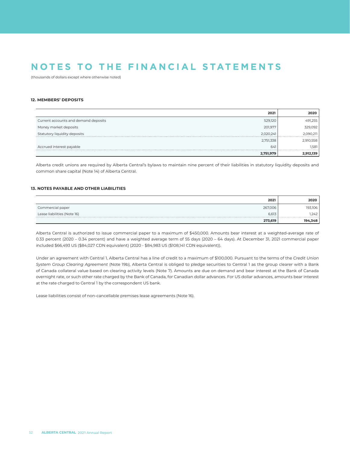(thousands of dollars except where otherwise noted)

## **12. MEMBERS' DEPOSITS**

|                                      | 2021 | 2020    |
|--------------------------------------|------|---------|
| Current accounts and demand deposits |      | 491,255 |
| Money market deposits<br>20197       |      | 329.092 |
| Statutory liquidity deposits         |      |         |
| 2.751.338                            |      |         |
| Accrued interest payable             | 64   | 58      |
|                                      |      |         |

Alberta credit unions are required by Alberta Central's bylaws to maintain nine percent of their liabilities in statutory liquidity deposits and common share capital (Note 14) of Alberta Central.

# **13. NOTES PAYABLE AND OTHER LIABILITIES**

| 2021                                 | 2020     |
|--------------------------------------|----------|
| 267,006<br>Commercial paper          | 193.106, |
| Lease liabilities (Note 16)<br>6,613 | 1.242    |
| 273.619                              | 194.348  |

Alberta Central is authorized to issue commercial paper to a maximum of \$450,000. Amounts bear interest at a weighted-average rate of 0.33 percent (2020 – 0.34 percent) and have a weighted average term of 55 days (2020 – 64 days). At December 31, 2021 commercial paper included \$66,493 US (\$84,027 CDN equivalent) (2020 - \$84,983 US (\$108,141 CDN equivalent)).

Under an agreement with Central 1, Alberta Central has a line of credit to a maximum of \$100,000. Pursuant to the terms of the *Credit Union System Group Clearing Agreement* (Note 19b), Alberta Central is obliged to pledge securities to Central 1 as the group clearer with a Bank of Canada collateral value based on clearing activity levels (Note 7). Amounts are due on demand and bear interest at the Bank of Canada overnight rate, or such other rate charged by the Bank of Canada, for Canadian dollar advances. For US dollar advances, amounts bear interest at the rate charged to Central 1 by the correspondent US bank.

Lease liabilities consist of non-cancellable premises lease agreements (Note 16).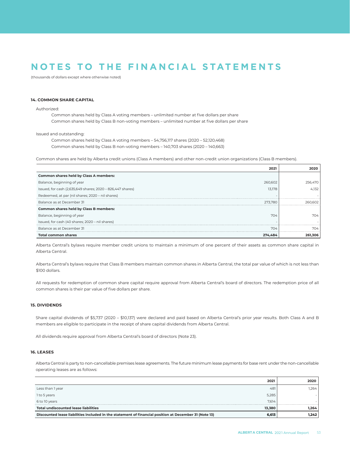(thousands of dollars except where otherwise noted)

# **14. COMMON SHARE CAPITAL**

### Authorized:

Common shares held by Class A voting members – unlimited number at five dollars per share Common shares held by Class B non-voting members – unlimited number at five dollars per share

Issued and outstanding:

Common shares held by Class A voting members – 54,756,117 shares (2020 – 52,120,468) Common shares held by Class B non-voting members – 140,703 shares (2020 – 140,663)

Common shares are held by Alberta credit unions (Class A members) and other non-credit union organizations (Class B members).

|                                                            | 202     | 2020    |
|------------------------------------------------------------|---------|---------|
| Common shares held by Class A members:                     |         |         |
| Balance, beginning of year                                 | 260.602 | 256.470 |
| Issued, for cash (2,635,649 shares; 2020 - 826,447 shares) | 13.178  | 4.132   |
| Redeemed, at par (nil shares; 2020 - nil shares)           |         |         |
| Balance as at December 31                                  | 273.780 |         |
| Common shares held by Class B members:                     |         |         |
| Balance, beginning of year                                 | 704     | 704     |
| Issued, for cash (40 shares; 2020 - nil shares)            | .       |         |
| Balance as at December 31                                  | 704     | 704     |
| <b>Total common shares</b>                                 | 274,484 | 261.306 |

Alberta Central's bylaws require member credit unions to maintain a minimum of one percent of their assets as common share capital in Alberta Central.

Alberta Central's bylaws require that Class B members maintain common shares in Alberta Central, the total par value of which is not less than \$100 dollars.

All requests for redemption of common share capital require approval from Alberta Central's board of directors. The redemption price of all common shares is their par value of five dollars per share.

# **15. DIVIDENDS**

Share capital dividends of \$5,737 (2020 – \$10,137) were declared and paid based on Alberta Central's prior year results. Both Class A and B members are eligible to participate in the receipt of share capital dividends from Alberta Central.

All dividends require approval from Alberta Central's board of directors (Note 23).

# **16. LEASES**

Alberta Central is party to non-cancellable premises lease agreements. The future minimum lease payments for base rent under the non-cancellable operating leases are as follows:

|                                                                                                       | 2021   | 2020  |
|-------------------------------------------------------------------------------------------------------|--------|-------|
| Less than 1 year                                                                                      | 48     | .264  |
| 1 to 5 years                                                                                          | 5,285  |       |
| 6 to 10 years                                                                                         | 7.614  |       |
| <b>Total undiscounted lease liabilities</b>                                                           | 13.380 | 1.264 |
| Discounted lease liabilities included in the statement of financial position at December 31 (Note 13) | 6,613  | 1.242 |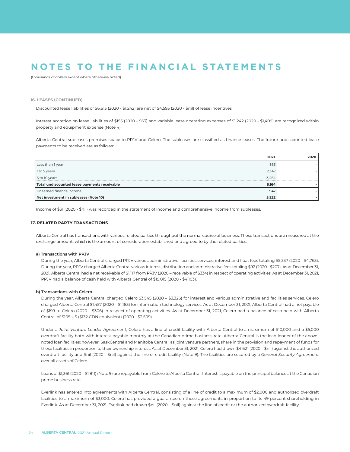(thousands of dollars except where otherwise noted)

## **16. LEASES (CONTINUED)**

Discounted lease liabilities of \$6,613 (2020 - \$1,242) are net of \$4,593 (2020 - \$nil) of lease incentives.

Interest accretion on lease liabilities of \$155 (2020 - \$63) and variable lease operating expenses of \$1,242 (2020 - \$1,409) are recognized within property and equipment expense (Note 4).

Alberta Central subleases premises space to PPJV and Celero. The subleases are classified as finance leases. The future undiscounted lease payments to be received are as follows:

|                                              | 2021  | 2020 |
|----------------------------------------------|-------|------|
| Less than 1 year                             | 363   |      |
| 1 to 5 years                                 | 2,347 |      |
| 6 to 10 years                                | 3.454 |      |
| Total undiscounted lease payments receivable | 6.164 |      |
| Unearned finance income                      | 942   |      |
| Net investment in subleases (Note 10)        | 5.22: |      |

Income of \$31 (2020 - \$nil) was recorded in the statement of income and comprehensive income from subleases.

### **17. RELATED PARTY TRANSACTIONS**

Alberta Central has transactions with various related parties throughout the normal course of business. These transactions are measured at the exchange amount, which is the amount of consideration established and agreed to by the related parties.

#### **a) Transactions with PPJV**

During the year, Alberta Central charged PPJV various administrative, facilities services, interest and float fees totaling \$5,337 (2020 - \$4,763). During the year, PPJV charged Alberta Central various interest, distribution and administrative fees totaling \$92 (2020 - \$207). As at December 31, 2021, Alberta Central had a net receivable of \$1,117 from PPJV (2020 – receivable of \$334) in respect of operating activities. As at December 31, 2021, PPJV had a balance of cash held with Alberta Central of \$19,015 (2020 - \$4,103).

### **b) Transactions with Celero**

During the year, Alberta Central charged Celero \$3,545 (2020 – \$3,326) for interest and various administrative and facilities services. Celero charged Alberta Central \$1,457 (2020 – \$1,183) for information technology services. As at December 31, 2021, Alberta Central had a net payable of \$199 to Celero (2020 – \$306) in respect of operating activities. As at December 31, 2021, Celero had a balance of cash held with Alberta Central of \$105 US (\$132 CDN equivalent) (2020 - \$2,509).

Under a *Joint Venture Lender Agreement*, Celero has a line of credit facility with Alberta Central to a maximum of \$10,000 and a \$5,000 overdraft facility both with interest payable monthly at the Canadian prime business rate. Alberta Central is the lead lender of the abovenoted loan facilities; however, SaskCentral and Manitoba Central, as joint venture partners, share in the provision and repayment of funds for these facilities in proportion to their ownership interest. As at December 31, 2021, Celero had drawn \$4,621 (2020 – \$nil) against the authorized overdraft facility and \$nil (2020 - \$nil) against the line of credit facility (Note 9). The facilities are secured by a *General Security Agreement*  over all assets of Celero.

Loans of \$1,361 (2020 – \$1,811) (Note 9) are repayable from Celero to Alberta Central. Interest is payable on the principal balance at the Canadian prime business rate.

Everlink has entered into agreements with Alberta Central, consisting of a line of credit to a maximum of \$2,000 and authorized overdraft facilities to a maximum of \$3,000. Celero has provided a guarantee on these agreements in proportion to its 49 percent shareholding in Everlink. As at December 31, 2021, Everlink had drawn \$nil (2020 – \$nil) against the line of credit or the authorized overdraft facility.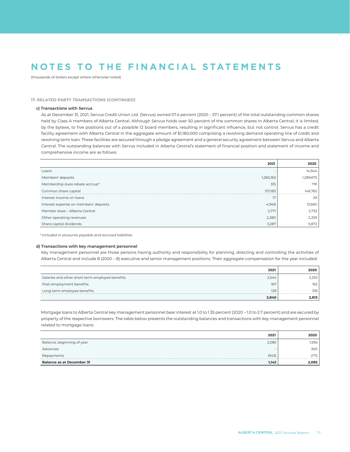(thousands of dollars except where otherwise noted)

# **17. RELATED PARTY TRANSACTIONS (CONTINUED)**

### **c) Transactions with Servus**

As at December 31, 2021, Servus Credit Union Ltd. (Servus) owned 57.4 percent (2020 – 57.1 percent) of the total outstanding common shares held by Class A members of Alberta Central. Although Servus holds over 50 percent of the common shares in Alberta Central; it is limited, by the bylaws, to five positions out of a possible 12 board members, resulting in significant influence, but not control. Servus has a credit facility agreement with Alberta Central in the aggregate amount of \$1,180,000 comprising a revolving demand operating line of credit and revolving term loan. These facilities are secured through a pledge agreement and a general security agreement between Servus and Alberta Central. The outstanding balances with Servus included in Alberta Central's statement of financial position and statement of income and comprehensive income are as follows:

|                                             | 2021      | 2020      |
|---------------------------------------------|-----------|-----------|
| Loans                                       |           | 14,944    |
| Members' deposits                           | 1,260,163 | 1,289,675 |
| Membership dues rebate accrual <sup>4</sup> | 315       | 7911      |
| Common share capital                        | 157,183   | 148.765   |
| Interest income on loans                    | 17        | 29        |
| Interest expense on members' deposits       | 4,948     | 12,660    |
| Member dues - Alberta Central               | 2,771     | 2,732     |
| Other operating revenues                    | 2,280     | 2,259     |
| Share capital dividends                     | 3,287     | 5,872     |

*4 Included in accounts payable and accrued liabilities*

### **d) Transactions with key management personnel**

Key management personnel are those persons having authority and responsibility for planning, directing and controlling the activities of Alberta Central and include 8 (2020 – 8) executive and senior management positions. Their aggregate compensation for the year included:

| 2021                                                     | 2020  |
|----------------------------------------------------------|-------|
| Salaries and other short-term employee benefits<br>2.544 |       |
| 167<br>Post-employment benefits                          | 162   |
| Long-term employee benefits<br>129                       | 318   |
| 2,840                                                    | 2.813 |

Mortgage loans to Alberta Central key management personnel bear interest at 1.0 to 1.35 percent (2020 – 1.0 to 2.7 percent) and are secured by property of the respective borrowers. The table below presents the outstanding balances and transactions with key management personnel related to mortgage loans:

| 2021                                      | 2020  |
|-------------------------------------------|-------|
| Balance, beginning of year<br>2,085       |       |
| Advances                                  | 300   |
| (943)<br>Repayments                       |       |
| <b>Balance as at December 31</b><br>1.142 | 2.085 |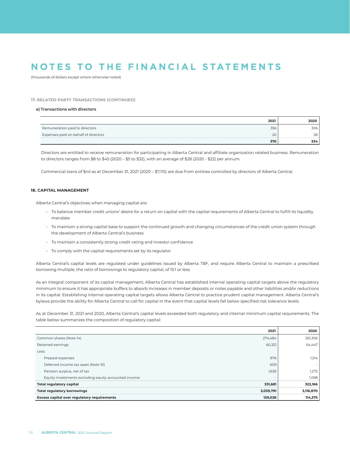(thousands of dollars except where otherwise noted)

## **17. RELATED PARTY TRANSACTIONS (CONTINUED)**

# **e) Transactions with directors**

| 2021                                 |     | 2020 |
|--------------------------------------|-----|------|
| Remuneration paid to directors       | 356 | 306  |
| Expenses paid on behalf of directors | ∠∖  |      |
|                                      | 376 | 334  |

Directors are entitled to receive remuneration for participating in Alberta Central and affiliate organization related business. Remuneration to directors ranges from \$8 to \$45 (2020 – \$5 to \$32), with an average of \$28 (2020 - \$22) per annum.

Commercial loans of \$nil as at December 31, 2021 (2020 – \$7,115) are due from entities controlled by directors of Alberta Central.

### **18. CAPITAL MANAGEMENT**

Alberta Central's objectives when managing capital are:

- To balance member credit unions' desire for a return on capital with the capital requirements of Alberta Central to fulfill its liquidity mandate
- To maintain a strong capital base to support the continued growth and changing circumstances of the credit union system through the development of Alberta Central's business
- To maintain a consistently strong credit rating and investor confidence
- To comply with the capital requirements set by its regulator

Alberta Central's capital levels are regulated under guidelines issued by Alberta TBF, and require Alberta Central to maintain a prescribed borrowing multiple, the ratio of borrowings to regulatory capital, of 15:1 or less.

As an integral component of its capital management, Alberta Central has established internal operating capital targets above the regulatory minimum to ensure it has appropriate buffers to absorb increases in member deposits or notes payable and other liabilities and/or reductions in its capital. Establishing internal operating capital targets allows Alberta Central to practice prudent capital management. Alberta Central's bylaws provide the ability for Alberta Central to call for capital in the event that capital levels fall below specified risk tolerance levels.

As at December 31, 2021 and 2020, Alberta Central's capital levels exceeded both regulatory and internal minimum capital requirements. The table below summarizes the composition of regulatory capital:

|                                                      | 202       | 2020      |
|------------------------------------------------------|-----------|-----------|
| Common shares (Note 14)                              | 274,484   | 261,306   |
| Retained earnings                                    | 60,321    |           |
| Less:                                                |           |           |
| Prepaid expenses                                     | 876       | .214      |
| Deferred income tax asset (Note 10)                  | 609       |           |
| Pension surplus, net of tax                          | 1,639     | .275      |
| Equity investments excluding equity accounted income |           | 1098      |
| <b>Total regulatory capital</b>                      | 331.681   | 322.166   |
| <b>Total regulatory borrowings</b>                   | 3.039.791 | 3.116.870 |
| <b>Excess capital over regulatory requirements</b>   | 129,028   | 114,375   |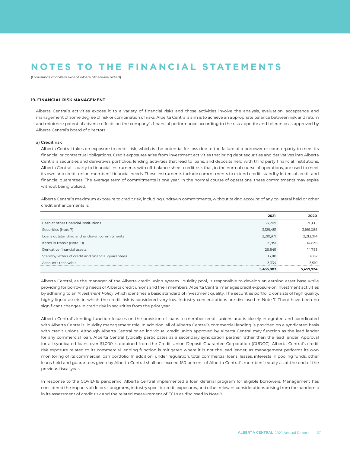(thousands of dollars except where otherwise noted)

# **19. FINANCIAL RISK MANAGEMENT**

Alberta Central's activities expose it to a variety of financial risks and those activities involve the analysis, evaluation, acceptance and management of some degree of risk or combination of risks. Alberta Central's aim is to achieve an appropriate balance between risk and return and minimize potential adverse effects on the company's financial performance according to the risk appetite and tolerance as approved by Alberta Central's board of directors.

#### **a) Credit risk**

Alberta Central takes on exposure to credit risk, which is the potential for loss due to the failure of a borrower or counterparty to meet its financial or contractual obligations. Credit exposures arise from investment activities that bring debt securities and derivatives into Alberta Central's securities and derivatives portfolios, lending activities that lead to loans, and deposits held with third party financial institutions. Alberta Central is party to financial instruments with off-balance sheet credit risk that, in the normal course of operations, are used to meet its own and credit union members' financial needs. These instruments include commitments to extend credit, standby letters of credit and financial guarantees. The average term of commitments is one year. In the normal course of operations, these commitments may expire without being utilized.

Alberta Central's maximum exposure to credit risk, including undrawn commitments, without taking account of any collateral held or other credit enhancements is:

| 2021                                                         | 2020      |
|--------------------------------------------------------------|-----------|
| Cash at other financial institutions<br>27,209               | 36,661    |
| Securities (Note 7)<br>3,129,451                             | 3.165.088 |
| Loans outstanding and undrawn commitments<br>2,219,971       | 2,213,014 |
| Items in transit (Note 10)<br>15,951                         | 14,836    |
| Derivative financial assets<br>26,849                        | 14,783    |
| Standby letters of credit and financial quarantees<br>13,118 | 10,032    |
| Accounts receivable<br>3.334                                 | 3.510     |
| 5,435,883                                                    | 5.457.924 |

Alberta Central, as the manager of the Alberta credit union system liquidity pool, is responsible to develop an earning asset base while providing for borrowing needs of Alberta credit unions and their members. Alberta Central manages credit exposure on investment activities by adhering to an *Investment Policy* which identifies a basic standard of investment quality. The securities portfolio consists of high quality, highly liquid assets in which the credit risk is considered very low. Industry concentrations are disclosed in Note 7. There have been no significant changes in credit risk in securities from the prior year.

Alberta Central's lending function focuses on the provision of loans to member credit unions and is closely integrated and coordinated with Alberta Central's liquidity management role. In addition, all of Alberta Central's commercial lending is provided on a syndicated basis with credit unions. Although Alberta Central or an individual credit union approved by Alberta Central may function as the lead lender for any commercial loan, Alberta Central typically participates as a secondary syndication partner rather than the lead lender. Approval for all syndicated loans over \$1,000 is obtained from the Credit Union Deposit Guarantee Corporation (CUDGC). Alberta Central's credit risk exposure related to its commercial lending function is mitigated where it is not the lead lender, as management performs its own monitoring of its commercial loan portfolio. In addition, under regulation, total commercial loans, leases, interests in pooling funds, other loans held and guarantees given by Alberta Central shall not exceed 150 percent of Alberta Central's members' equity as at the end of the previous fiscal year.

In response to the COVID-19 pandemic, Alberta Central implemented a loan deferral program for eligible borrowers. Management has considered the impacts of deferral programs, industry specific credit exposures, and other relevant considerations arising from the pandemic in its assessment of credit risk and the related measurement of ECLs as disclosed in Note 9.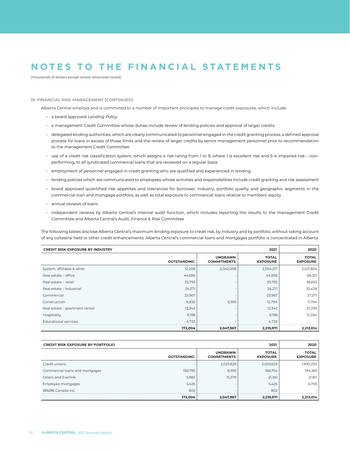(thousands of dollars except where otherwise noted)

## **19. FINANCIAL RISK MANAGEMENT (CONTINUED)**

Alberta Central employs and is committed to a number of important principles to manage credit exposures, which include:

- a board approved *Lending Policy*
- a management Credit Committee whose duties include review of lending policies and approval of larger credits
- delegated lending authorities, which are clearly communicated to personnel engaged in the credit granting process, a defined approval process for loans in excess of those limits and the review of larger credits by senior management personnel prior to recommendation to the management Credit Committee
- use of a credit risk classification system, which assigns a risk rating from 1 to 9, where 1 is excellent risk and 9 is impaired risk nonperforming, to all syndicated commercial loans that are reviewed on a regular basis
- employment of personnel engaged in credit granting who are qualified and experienced in lending
- lending policies which are communicated to employees whose activities and responsibilities include credit granting and risk assessment
- board approved quantified risk appetites and tolerances for borrower, industry, portfolio quality and geographic segments in the commercial loan and mortgage portfolio, as well as total exposure to commercial loans relative to members' equity
- annual reviews of loans
- independent reviews by Alberta Central's internal audit function, which includes reporting the results to the management Credit Committee and Alberta Central's Audit, Finance & Risk Committee

The following tables disclose Alberta Central's maximum lending exposure to credit risk, by industry and by portfolio, without taking account of any collateral held or other credit enhancements. Alberta Central's commercial loans and mortgages portfolio is concentrated in Alberta.

| 2021<br><b>CREDIT RISK EXPOSURE BY INDUSTRY</b> |                    |                                      | 2020                            |                                 |
|-------------------------------------------------|--------------------|--------------------------------------|---------------------------------|---------------------------------|
|                                                 | <b>OUTSTANDING</b> | <b>UNDRAWN</b><br><b>COMMITMENTS</b> | <b>TOTAL</b><br><b>EXPOSURE</b> | <b>TOTAL</b><br><b>EXPOSURE</b> |
| System, affiliates & other                      | 12,209             | 2,042,008                            | 2,054,217                       | 2,021,834                       |
| Real estate - office                            | 44,656             | $\overline{\phantom{a}}$             | 44,656                          | 48,351                          |
| Real estate - retail                            | 33,793             | $\overline{\phantom{a}}$             | 33,793                          | 38,653                          |
| Real estate - industrial                        | 24,271             |                                      | 24,271                          | 25,428                          |
| Commercial                                      | 23,967             |                                      | 23,967                          | 27,371                          |
| Construction                                    | 6,835              | 5,959                                | 12,794                          | 11,794                          |
| Real estate - apartment rental                  | 12,342             |                                      | 12,342                          | 27,299                          |
| Hospitality                                     | 9,198              | $\overline{\phantom{a}}$             | 9,198                           | 12,284                          |
| <b>Educational services</b>                     | 4,733              |                                      | 4,733                           |                                 |
|                                                 | 172,004            | 2,047,967                            | 2,219,971                       | 2,213,014                       |

| 2021<br><b>CREDIT RISK EXPOSURE BY PORTFOLIO</b> |                    |                                      |                                 | 2020                            |
|--------------------------------------------------|--------------------|--------------------------------------|---------------------------------|---------------------------------|
|                                                  | <b>OUTSTANDING</b> | <b>UNDRAWN</b><br><b>COMMITMENTS</b> | <b>TOTAL</b><br><b>EXPOSURE</b> | <b>TOTAL</b><br><b>EXPOSURE</b> |
| Credit unions                                    |                    | 2,023,629                            | 2,023,629                       | 1,990,230                       |
| Commercial loans and mortgages                   | 159,795            | 8,959                                | 168,754                         | 194,180                         |
| Celero and Everlink                              | 5,982              | 15,379                               | 21,361                          | 21,811                          |
| Employee mortgages                               | 5,425              |                                      | 5,425                           | 6,793                           |
| 189286 Canada Inc.                               | 802                | -                                    | 802                             |                                 |
|                                                  | 172,004            | 2,047,967                            | 2,219,971                       | 2,213,014                       |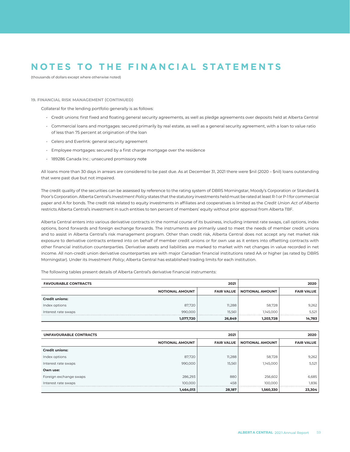(thousands of dollars except where otherwise noted)

## **19. FINANCIAL RISK MANAGEMENT (CONTINUED)**

Collateral for the lending portfolio generally is as follows:

- Credit unions: first fixed and floating general security agreements, as well as pledge agreements over deposits held at Alberta Central
- Commercial loans and mortgages: secured primarily by real estate, as well as a general security agreement, with a loan to value ratio of less than 75 percent at origination of the loan
- Celero and Everlink: general security agreement
- Employee mortgages: secured by a first charge mortgage over the residence
- 189286 Canada Inc.: unsecured promissory note

All loans more than 30 days in arrears are considered to be past due. As at December 31, 2021 there were \$nil (2020 – \$nil) loans outstanding that were past due but not impaired.

The credit quality of the securities can be assessed by reference to the rating system of DBRS Morningstar, Moody's Corporation or Standard & Poor's Corporation. Alberta Central's *Investment Policy* states that the statutory investments held must be rated at least R-1 or P-1 for commercial paper and A for bonds. The credit risk related to equity investments in affiliates and cooperatives is limited as the *Credit Union Act of Alberta* restricts Alberta Central's investment in such entities to ten percent of members' equity without prior approval from Alberta TBF.

Alberta Central enters into various derivative contracts in the normal course of its business, including interest rate swaps, call options, index options, bond forwards and foreign exchange forwards. The instruments are primarily used to meet the needs of member credit unions and to assist in Alberta Central's risk management program. Other than credit risk, Alberta Central does not accept any net market risk exposure to derivative contracts entered into on behalf of member credit unions or for own use as it enters into offsetting contracts with other financial institution counterparties. Derivative assets and liabilities are marked to market with net changes in value recorded in net income. All non-credit union derivative counterparties are with major Canadian financial institutions rated AA or higher (as rated by DBRS Morningstar). Under its *Investment Policy*, Alberta Central has established trading limits for each institution.

The following tables present details of Alberta Central's derivative financial instruments:

| <b>FAVOURABLE CONTRACTS</b><br>2021 |                        | 2020              |                        |                   |
|-------------------------------------|------------------------|-------------------|------------------------|-------------------|
|                                     | <b>NOTIONAL AMOUNT</b> | <b>FAIR VALUE</b> | <b>NOTIONAL AMOUNT</b> | <b>FAIR VALUE</b> |
| <b>Credit unions:</b>               |                        |                   |                        |                   |
| Index options                       | 87.720                 | 11.288            | 58.728                 | 9.262             |
| Interest rate swaps                 | 990,000                | 15.561            | 1.145.000              | 5.521             |
|                                     | 1.077.720              | 26,849            | 1.203.728              | 14.783            |

| 2021<br>UNFAVOURABLE CONTRACTS |                        | 2020              |                        |                   |
|--------------------------------|------------------------|-------------------|------------------------|-------------------|
|                                | <b>NOTIONAL AMOUNT</b> | <b>FAIR VALUE</b> | <b>NOTIONAL AMOUNT</b> | <b>FAIR VALUE</b> |
| <b>Credit unions:</b>          |                        |                   |                        |                   |
| Index options                  | 87,720                 | 11,288            | 58,728                 | 9,262             |
| Interest rate swaps            | 990,000                | 15,561            | 1,145,000              | 5,521             |
| Own use:                       |                        |                   |                        |                   |
| Foreign exchange swaps         | 286,293                | 880               | 256,602                | 6,685             |
| Interest rate swaps            | 100,000                | 458               | 100,000                | 1.836             |
|                                | 1,464,013              | 28,187            | 1,560,330              | 23,304            |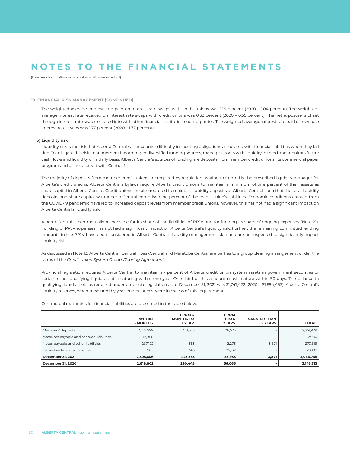(thousands of dollars except where otherwise noted)

## **19. FINANCIAL RISK MANAGEMENT (CONTINUED)**

The weighted-average interest rate paid on interest rate swaps with credit unions was 1.16 percent (2020 – 1.04 percent). The weightedaverage interest rate received on interest rate swaps with credit unions was 0.32 percent (2020 – 0.55 percent). The net exposure is offset through interest rate swaps entered into with other financial institution counterparties. The weighted-average interest rate paid on own use interest rate swaps was 1.77 percent (2020 – 1.77 percent).

### **b) Liquidity risk**

Liquidity risk is the risk that Alberta Central will encounter difficulty in meeting obligations associated with financial liabilities when they fall due. To mitigate this risk, management has arranged diversified funding sources, manages assets with liquidity in mind and monitors future cash flows and liquidity on a daily basis. Alberta Central's sources of funding are deposits from member credit unions, its commercial paper program and a line of credit with Central 1.

The majority of deposits from member credit unions are required by regulation as Alberta Central is the prescribed liquidity manager for Alberta's credit unions. Alberta Central's bylaws require Alberta credit unions to maintain a minimum of one percent of their assets as share capital in Alberta Central. Credit unions are also required to maintain liquidity deposits at Alberta Central such that the total liquidity deposits and share capital with Alberta Central comprise nine percent of the credit union's liabilities. Economic conditions created from the COVID-19 pandemic have led to increased deposit levels from member credit unions, however, this has not had a significant impact on Alberta Central's liquidity risk.

Alberta Central is contractually responsible for its share of the liabilities of PPJV and for funding its share of ongoing expenses (Note 21). Funding of PPJV expenses has not had a significant impact on Alberta Central's liquidity risk. Further, the remaining committed lending amounts to the PPJV have been considered in Alberta Central's liquidity management plan and are not expected to significantly impact liquidity risk.

As discussed in Note 13, Alberta Central, Central 1, SaskCentral and Manitoba Central are parties to a group clearing arrangement under the terms of the *Credit Union System Group Clearing Agreement*.

Provincial legislation requires Alberta Central to maintain six percent of Alberta credit union system assets in government securities or certain other qualifying liquid assets maturing within one year. One third of this amount must mature within 90 days. The balance in qualifying liquid assets as required under provincial legislation as at December 31, 2021 was \$1,747,422 (2020 – \$1,694,493). Alberta Central's liquidity reserves, when measured by year-end balances, were in excess of this requirement.

Contractual maturities for financial liabilities are presented in the table below:

|                                          | <b>WITHIN</b><br><b>3 MONTHS</b> | FROM 3<br><b>MONTHS TO</b><br>1 YEAR | <b>FROM</b><br>1 TO 5<br><b>YEARS</b> | <b>GREATER THAN</b><br>5 YEARS | <b>TOTAL</b> |
|------------------------------------------|----------------------------------|--------------------------------------|---------------------------------------|--------------------------------|--------------|
| Members' deposits                        | 2,223,799                        | 421,655                              | 106,525                               |                                | 2,751,979    |
| Accounts payable and accrued liabilities | 12.980                           |                                      |                                       |                                | 12,980       |
| Notes payable and other liabilities      | 267,122                          | 353                                  | 2.273                                 | 3,871                          | 273,619      |
| Derivative financial liabilities         | 1.705                            | 1.345                                | 25.137                                |                                | 28,187       |
| <b>December 31, 2021</b>                 | 2,505,606                        | 423.353                              | 133.935                               | 3,871                          | 3,066,765    |
| December 31, 2020                        | 2,818,802                        | 290,445                              | 36,066                                |                                | 3,145,313    |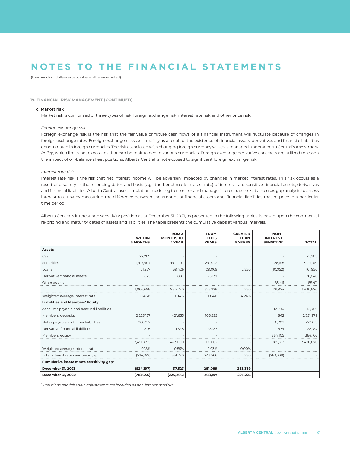(thousands of dollars except where otherwise noted)

## **19. FINANCIAL RISK MANAGEMENT (CONTINUED)**

### **c) Market risk**

Market risk is comprised of three types of risk: foreign exchange risk, interest rate risk and other price risk.

### *Foreign exchange risk*

Foreign exchange risk is the risk that the fair value or future cash flows of a financial instrument will fluctuate because of changes in foreign exchange rates. Foreign exchange risks exist mainly as a result of the existence of financial assets, derivatives and financial liabilities denominated in foreign currencies. The risk associated with changing foreign currency values is managed under Alberta Central's *Investment Policy*, which limits net exposures that can be maintained in various currencies. Foreign exchange derivative contracts are utilized to lessen the impact of on-balance sheet positions. Alberta Central is not exposed to significant foreign exchange risk.

### *Interest rate risk*

Interest rate risk is the risk that net interest income will be adversely impacted by changes in market interest rates. This risk occurs as a result of disparity in the re-pricing dates and basis (e.g., the benchmark interest rate) of interest rate sensitive financial assets, derivatives and financial liabilities. Alberta Central uses simulation modeling to monitor and manage interest rate risk. It also uses gap analysis to assess interest rate risk by measuring the difference between the amount of financial assets and financial liabilities that re-price in a particular time period.

Alberta Central's interest rate sensitivity position as at December 31, 2021, as presented in the following tables, is based upon the contractual re-pricing and maturity dates of assets and liabilities. The table presents the cumulative gaps at various intervals.

|                                           | <b>WITHIN</b><br><b>3 MONTHS</b> | <b>FROM 3</b><br><b>MONTHS TO</b><br>1 YEAR | <b>FROM</b><br>1 TO 5<br><b>YEARS</b> | <b>GREATER</b><br><b>THAN</b><br><b>5 YEARS</b> | NON-<br><b>INTEREST</b><br><b>SENSITIVE<sup>5</sup></b> | <b>TOTAL</b> |
|-------------------------------------------|----------------------------------|---------------------------------------------|---------------------------------------|-------------------------------------------------|---------------------------------------------------------|--------------|
| <b>Assets</b>                             |                                  |                                             |                                       |                                                 |                                                         |              |
| Cash                                      | 27,209                           |                                             |                                       |                                                 |                                                         | 27,209       |
| Securities                                | 1,917,407                        | 944,407                                     | 241,022                               |                                                 | 26,615                                                  | 3,129,451    |
| Loans                                     | 21,257                           | 39,426                                      | 109,069                               | 2,250                                           | (10, 052)                                               | 161,950      |
| Derivative financial assets               | 825                              | 887                                         | 25,137                                |                                                 |                                                         | 26,849       |
| Other assets                              |                                  |                                             |                                       |                                                 | 85,411                                                  | 85,411       |
|                                           | 1.966.698                        | 984.720                                     | 375.228                               | 2,250                                           | 101,974                                                 | 3,430,870    |
| Weighted average interest rate            | 0.46%                            | 1.04%                                       | 1.84%                                 | 4.26%                                           |                                                         |              |
| <b>Liabilities and Members' Equity</b>    |                                  |                                             |                                       |                                                 |                                                         |              |
| Accounts payable and accrued liabilities  |                                  |                                             |                                       |                                                 | 12,980                                                  | 12,980       |
| Members' deposits                         | 2,223,157                        | 421,655                                     | 106,525                               |                                                 | 642                                                     | 2,751,979    |
| Notes payable and other liabilities       | 266,912                          |                                             |                                       |                                                 | 6,707                                                   | 273,619      |
| Derivative financial liabilities          | 826                              | 1,345                                       | 25,137                                |                                                 | 879                                                     | 28,187       |
| Members' equity                           |                                  |                                             |                                       |                                                 | 364,105                                                 | 364,105      |
|                                           | 2,490,895                        | 423,000                                     | 131.662                               |                                                 | 385,313                                                 | 3.430.870    |
| Weighted average interest rate            | 0.18%                            | 0.55%                                       | 1.03%                                 | 0.00%                                           |                                                         |              |
| Total interest rate sensitivity gap       | (524.197)                        | 561.720                                     | 243,566                               | 2.250                                           | (283.339)                                               |              |
| Cumulative interest rate sensitivity gap: |                                  |                                             |                                       |                                                 |                                                         |              |
| December 31, 2021                         | (524, 197)                       | 37,523                                      | 281,089                               | 283,339                                         |                                                         |              |
| December 31, 2020                         | (718, 646)                       | (224, 266)                                  | 268,197                               | 295,223                                         |                                                         |              |

*5 Provisions and fair value adjustments are included as non-interest sensitive.*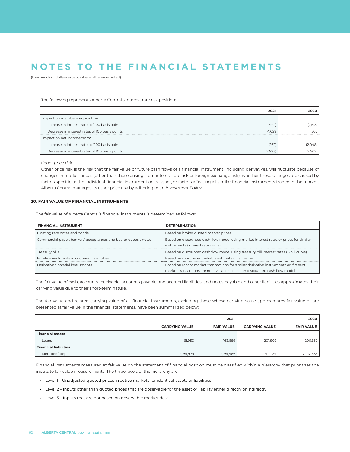(thousands of dollars except where otherwise noted)

The following represents Alberta Central's interest rate risk position:

| 2021                                                      | 2020    |
|-----------------------------------------------------------|---------|
| Impact on members' equity from:                           |         |
| Increase in interest rates of 100 basis points<br>(4,922) |         |
| 4.029<br>Decrease in interest rates of 100 basis points   |         |
| Impact on net income from:                                |         |
| Increase in interest rates of 100 basis points<br>(262)   | (2,048) |
| Decrease in interest rates of 100 basis points<br>(2.993) |         |

*Other price risk*

Other price risk is the risk that the fair value or future cash flows of a financial instrument, including derivatives, will fluctuate because of changes in market prices (other than those arising from interest rate risk or foreign exchange risk), whether those changes are caused by factors specific to the individual financial instrument or its issuer, or factors affecting all similar financial instruments traded in the market. Alberta Central manages its other price risk by adhering to an *Investment Policy*.

# **20. FAIR VALUE OF FINANCIAL INSTRUMENTS**

The fair value of Alberta Central's financial instruments is determined as follows:

| <b>FINANCIAL INSTRUMENT</b>                                     | <b>DETERMINATION</b>                                                                                                       |
|-----------------------------------------------------------------|----------------------------------------------------------------------------------------------------------------------------|
| Floating rate notes and bonds                                   | Based on broker quoted market prices                                                                                       |
| Commercial paper, bankers' acceptances and bearer deposit notes | Based on discounted cash flow model using market interest rates or prices for similar<br>instruments (interest rate curve) |
| Treasury bills                                                  | Based on discounted cash flow model using treasury bill interest rates (T-bill curve)                                      |
| Equity investments in cooperative entities                      | Based on most recent reliable estimate of fair value                                                                       |
| Derivative financial instruments                                | Based on recent market transactions for similar derivative instruments or if recent                                        |
|                                                                 | market transactions are not available, based on discounted cash flow model                                                 |

The fair value of cash, accounts receivable, accounts payable and accrued liabilities, and notes payable and other liabilities approximates their carrying value due to their short-term nature.

The fair value and related carrying value of all financial instruments, excluding those whose carrying value approximates fair value or are presented at fair value in the financial statements, have been summarized below:

|                              | 2021                  |                   |                       | 2020              |  |
|------------------------------|-----------------------|-------------------|-----------------------|-------------------|--|
|                              | <b>CARRYING VALUE</b> | <b>FAIR VALUE</b> | <b>CARRYING VALUE</b> | <b>FAIR VALUE</b> |  |
| <b>Financial assets</b>      |                       |                   |                       |                   |  |
| Loans                        | 161,950               | 163,859           | 201,902               | 206,357           |  |
| <b>Financial liabilities</b> |                       |                   |                       |                   |  |
| Members' deposits            | 2,751,979             | 2,751,966         | 2,912,139             | 2,912,853         |  |

Financial instruments measured at fair value on the statement of financial position must be classified within a hierarchy that prioritizes the inputs to fair value measurements. The three levels of the hierarchy are:

- Level 1 Unadjusted quoted prices in active markets for identical assets or liabilities
- Level 2 Inputs other than quoted prices that are observable for the asset or liability either directly or indirectly
- Level 3 Inputs that are not based on observable market data